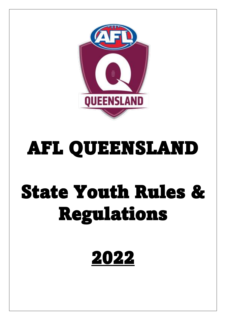

# AFL QUEENSLAND

# State Youth Rules & Regulations

# 2022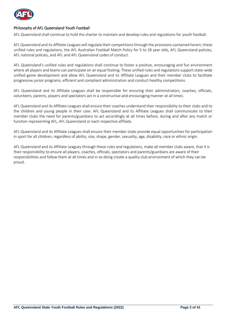

#### Philosophy of AFL Queensland Youth Football

AFL Queensland shall continue to hold the charter to maintain and develop rules and regulations for youth football.

AFL Queensland and its Affiliate Leagues will regulate their competitions through the provisions contained herein; these unified rules and regulations, the AFL Australian Football Match Policy for 5 to 18 year olds, AFL Queensland policies, AFL national policies, and AFL and AFL Queensland codes of conduct.

AFL Queensland's unified rules and regulations shall continue to foster a positive, encouraging and fun environment where all players and teams can participate on an equal footing. These unified rules and regulations support state-wide unified game development and allow AFL Queensland and its Affiliate Leagues and their member clubs to facilitate progressive junior programs, efficient and compliant administration and conduct healthy competitions.

AFL Queensland and its Affiliate Leagues shall be responsible for ensuring their administrators, coaches, officials, volunteers, parents, players and spectators act in a constructive and encouraging manner at all times.

AFL Queensland and its Affiliate Leagues shall ensure their coaches understand their responsibility to their clubs and to the children and young people in their care. AFL Queensland and its Affiliate Leagues shall communicate to their member clubs the need for parents/guardians to act accordingly at all times before, during and after any match or function representing AFL, AFL Queensland or each respective affiliate.

AFL Queensland and its Affiliate Leagues shall ensure their member clubs provide equal opportunities for participation in sport for all children, regardless of ability, size, shape, gender, sexuality, age, disability, race or ethnic origin.

AFL Queensland and its Affiliate Leagues through these rules and regulations, make all member clubs aware, that it is their responsibility to ensure all players, coaches, officials, spectators and parents/guardians are aware of their responsibilities and follow them at all times and in so doing create a quality club environment of which they can be proud.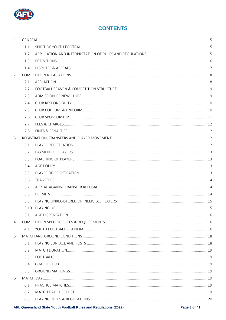

# **CONTENTS**

| $\mathbf{1}$   |     |  |
|----------------|-----|--|
|                | 1.1 |  |
|                | 1.2 |  |
|                | 1.3 |  |
|                | 1.4 |  |
| $\overline{2}$ |     |  |
|                | 2.1 |  |
|                | 2.2 |  |
|                | 2.3 |  |
|                | 2.4 |  |
|                | 2.5 |  |
|                | 2.6 |  |
|                | 2.7 |  |
|                | 2.8 |  |
| 3              |     |  |
|                | 3.1 |  |
|                | 3.2 |  |
|                | 3.3 |  |
|                | 3.4 |  |
|                | 3.5 |  |
|                | 3.6 |  |
|                | 3.7 |  |
|                | 3.8 |  |
|                | 3.9 |  |
|                |     |  |
|                |     |  |
| $\overline{4}$ |     |  |
|                | 4.1 |  |
| 5              |     |  |
|                | 5.1 |  |
|                | 5.2 |  |
|                | 5.3 |  |
|                | 5.4 |  |
|                | 5.5 |  |
| 6              |     |  |
|                | 6.1 |  |
|                | 6.2 |  |
|                | 6.3 |  |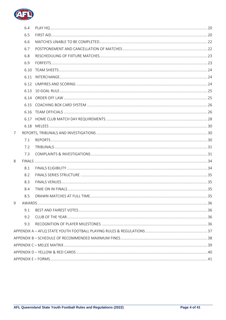

|   | 6.4  |  |
|---|------|--|
|   | 6.5  |  |
|   | 6.6  |  |
|   | 6.7  |  |
|   | 6.8  |  |
|   | 6.9  |  |
|   | 6.10 |  |
|   | 6.11 |  |
|   |      |  |
|   | 6.13 |  |
|   |      |  |
|   |      |  |
|   |      |  |
|   |      |  |
|   |      |  |
| 7 |      |  |
|   | 7.1  |  |
|   | 7.2  |  |
|   | 7.3  |  |
| 8 |      |  |
|   | 8.1  |  |
|   | 8.2  |  |
|   | 8.3  |  |
|   | 8.4  |  |
|   |      |  |
| 9 |      |  |
|   | 9.1  |  |
|   | 9.2  |  |
|   | 9.3  |  |
|   |      |  |
|   |      |  |
|   |      |  |
|   |      |  |
|   |      |  |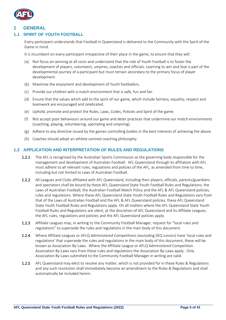

#### <span id="page-4-0"></span>**1 GENERAL**

#### <span id="page-4-1"></span>**1.1 SPIRIT OF YOUTH FOOTBALL**

Every participant understands that Football in Queensland is delivered to the Community with the Spirit of the Game in mind.

It is incumbent on every participant irrespective of their place in the game, to ensure that they will:

- (a) Not focus on winning at all costs and understand that the role of Youth Football is to foster the development of players, volunteers, umpires, coaches and officials. Learning to win and lose is part of the developmental journey of a participant but must remain secondary to the primary focus of player development.
- (b) Maximise the enjoyment and development of Youth footballers.
- (c) Provide our children with a match environment that is safe, fun and fair.
- (d) Ensure that the values which add to the spirit of our game, which include fairness, equality, respect and teamwork are encouraged and celebrated.
- (e) Uphold, promote and protect the Rules, Laws, Codes, Policies and Spirit of the game.
- (f) Not accept poor behaviours around our game and deter practices that undermine our match environments (coaching, playing, volunteering, spectating and umpiring).
- (g) Adhere to any directive issued by the games controlling bodies in the best interests of achieving the above.
- (h) Coaches should adopt an athlete centred coaching philosophy.

#### <span id="page-4-2"></span>**1.2 APPLICATION AND INTERPRETATION OF RULES AND REGULATIONS**

- 1.2.1 The AFL is recognised by the Australian Sports Commission as the governing body responsible for the management and development of Australian Football. AFL Queensland through its affiliation with AFL must adhere to all relevant rules, regulations and policies of the AFL, as amended from time to time, including but not limited to Laws of Australian Football.
- 1.2.2 All Leagues and Clubs affiliated with AFL Queensland, including their players, officials, parents/guardians and spectators shall be bound by these AFL Queensland State Youth Football Rules and Regulations, the Laws of Australian Football, the Australian Football Match Policy and the AFL & AFL Queensland policies, rules and regulations. Where these AFL Queensland State Youth Football Rules and Regulations vary from that of the Laws of Australian Football and the AFL & AFL Queensland policies, these AFL Queensland State Youth Football Rules and Regulations apply. On all matters where the AFL Queensland State Youth Football Rules and Regulations are silent, at the discretion of AFL Queensland and its Affiliate Leagues, the AFL rules, regulations and policies and the AFL Queensland policies apply.
- 1.2.3 Affiliate Leagues may, in writing to the Community Football Manager, request for "local rules and regulations" to supersede the rules and regulations in the main body of this document.
- 1.2.4 Where Affiliate Leagues or AFLQ Administered Competitions (excluding SEQ Juniors) have 'local rules and regulations' that supersede the rules and regulations in the main body of this document, these will be known as Association By-Laws. Where the Affiliate League or AFLQ Administered Competition Association By-Laws vary from these rules and regulations the Association By-Laws apply. Only Association By-Laws submitted to the Community Football Manager in writing are valid.
- 1.2.5 AFL Queensland may elect to resolve any matter, which is not provided for in these Rules & Regulations and any such resolution shall immediately become an amendment to the Rules & Regulations and shall automatically be included herein.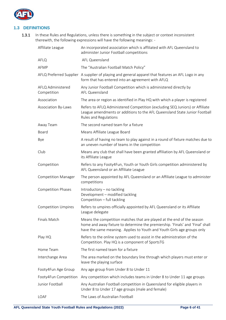

#### <span id="page-5-0"></span>**1.3 DEFINITIONS**

1.3.1 In these Rules and Regulations, unless there is something in the subject or context inconsistent therewith, the following expressions will have the following meanings: -

| Affiliate League                 | An incorporated association which is affiliated with AFL Queensland to<br>administer Junior Football competitions                                                                                                                   |
|----------------------------------|-------------------------------------------------------------------------------------------------------------------------------------------------------------------------------------------------------------------------------------|
| AFLQ                             | AFL Queensland                                                                                                                                                                                                                      |
| AFMP                             | The "Australian Football Match Policy"                                                                                                                                                                                              |
|                                  | AFLQ Preferred Supplier A supplier of playing and general apparel that features an AFL Logo in any<br>form that has entered into an agreement with AFLQ                                                                             |
| AFLQ Administered<br>Competition | Any Junior Football Competition which is administered directly by<br>AFL Queensland                                                                                                                                                 |
| Association                      | The area or region as identified in Play HQ with which a player is registered                                                                                                                                                       |
| Association By-Laws              | Refers to AFLQ Administered Competition (excluding SEQ Juniors) or Affiliate<br>League amendments or additions to the AFL Queensland State Junior Football<br>Rules and Regulations                                                 |
| Away Team                        | The second named team for a fixture                                                                                                                                                                                                 |
| Board                            | Means Affiliate League Board                                                                                                                                                                                                        |
| Bye                              | A result of having no team to play against in a round of fixture matches due to<br>an uneven number of teams in the competition                                                                                                     |
| Club                             | Means any club that shall have been granted affiliation by AFL Queensland or<br>its Affiliate League                                                                                                                                |
| Competition                      | Refers to any Footy4Fun, Youth or Youth Girls competition administered by<br>AFL Queensland or an Affiliate League                                                                                                                  |
| <b>Competition Manager</b>       | The person appointed by AFL Queensland or an Affiliate League to administer<br>competitions                                                                                                                                         |
| <b>Competition Phases</b>        | Introductory - no tackling<br>Development - modified tackling<br>Competition - full tackling                                                                                                                                        |
| <b>Competition Umpires</b>       | Refers to umpires officially appointed by AFL Queensland or its Affiliate<br>League delegate                                                                                                                                        |
| Finals Match                     | Means the competition matches that are played at the end of the season<br>home and away fixture to determine the premiership. 'Finals' and 'Final' shall<br>have the same meaning. Applies to Youth and Youth Girls age groups only |
| Play HQ                          | Refers to the online system used to assist in the administration of the<br>Competition. Play HQ is a component of SportsTG                                                                                                          |
| Home Team                        | The first named team for a fixture                                                                                                                                                                                                  |
| Interchange Area                 | The area marked on the boundary line through which players must enter or<br>leave the playing surface                                                                                                                               |
| Footy4Fun Age Group              | Any age group from Under 8 to Under 11                                                                                                                                                                                              |
| Footy4Fun Competition            | Any competition which includes teams in Under 8 to Under 11 age groups                                                                                                                                                              |
| Junior Football                  | Any Australian Football competition in Queensland for eligible players in<br>Under 8 to Under 17 age groups (male and female)                                                                                                       |
| LOAF                             | The Laws of Australian Football                                                                                                                                                                                                     |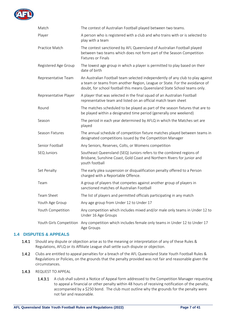

| Match                   | The contest of Australian Football played between two teams.                                                                                                                                                                              |
|-------------------------|-------------------------------------------------------------------------------------------------------------------------------------------------------------------------------------------------------------------------------------------|
| Player                  | A person who is registered with a club and who trains with or is selected to<br>play with a team                                                                                                                                          |
| Practice Match          | The contest sanctioned by AFL Queensland of Australian Football played<br>between two teams which does not form part of the Season Competition<br><b>Fixtures or Finals</b>                                                               |
| Registered Age Group    | The lowest age group in which a player is permitted to play based on their<br>date of birth                                                                                                                                               |
| Representative Team     | An Australian Football team selected independently of any club to play against<br>a team or teams from another Region, League or State. For the avoidance of<br>doubt, for school football this means Queensland State School teams only. |
| Representative Player   | A player that was selected in the final squad of an Australian Football<br>representative team and listed on an official match team sheet                                                                                                 |
| Round                   | The matches scheduled to be played as part of the season fixtures that are to<br>be played within a designated time period (generally one weekend)                                                                                        |
| Season                  | The period in each year determined by AFLQ in which the Matches set are<br>played                                                                                                                                                         |
| Season Fixtures         | The annual schedule of competition fixture matches played between teams in<br>designated competitions issued by the Competition Manager                                                                                                   |
| Senior Football         | Any Seniors, Reserves, Colts, or Womens competition                                                                                                                                                                                       |
| <b>SEQ Juniors</b>      | Southeast Queensland (SEQ) Juniors refers to the combined regions of<br>Brisbane, Sunshine Coast, Gold Coast and Northern Rivers for junior and<br>youth football                                                                         |
| Set Penalty             | The early plea suspension or disqualification penalty offered to a Person<br>charged with a Reportable Offence.                                                                                                                           |
| Team                    | A group of players that competes against another group of players in<br>sanctioned matches of Australian Football                                                                                                                         |
| Team Sheet              | The list of players and permitted officials participating in any match                                                                                                                                                                    |
| Youth Age Group         | Any age group from Under 12 to Under 17                                                                                                                                                                                                   |
| Youth Competition       | Any competition which includes mixed and/or male only teams in Under 12 to<br>Under 16 Age Groups                                                                                                                                         |
| Youth Girls Competition | Any competition which includes female only teams in Under 12 to Under 17<br>Age Groups                                                                                                                                                    |

#### <span id="page-6-0"></span>**1.4 DISPUTES & APPEALS**

- 1.4.1 Should any dispute or objection arise as to the meaning or interpretation of any of these Rules & Regulations, AFLQ or its Affiliate League shall settle such dispute or objection.
- 1.4.2 Clubs are entitled to appeal penalties for a breach of the AFL Queensland State Youth Football Rules & Regulations or Policies, on the grounds that the penalty provided was not fair and reasonable given the circumstances.

#### 1.4.3 REQUEST TO APPEAL

1.4.3.1 A club shall submit a Notice of Appeal form addressed to the Competition Manager requesting to appeal a financial or other penalty within 48 hours of receiving notification of the penalty, accompanied by a \$250 bond. The club must outline why the grounds for the penalty were not fair and reasonable.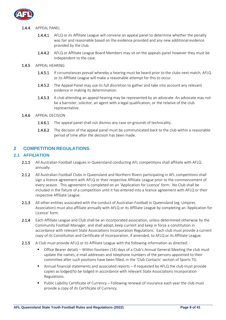

#### 1.4.4 APPEAL PANEL

- 1.4.4.1 AFLQ or its Affiliate League will convene an appeal panel to determine whether the penalty was fair and reasonable based on the evidence provided and any new additional evidence provided by the club.
- 1.4.4.2 AFLQ or Affiliate League Board Members may sit on the appeals panel however they must be independent to the case.
- 1.4.5 APPEAL HEARING
	- 1.4.5.1 If circumstances prevail whereby a hearing must be heard prior to the clubs next match, AFLQ or its Affiliate League will make a reasonable attempt for this to occur.
	- 1.4.5.2 The Appeal Panel may use its full discretion to gather and take into account any relevant evidence in making its determination.
	- 1.4.5.3 A club attending an appeal hearing may be represented by an advocate. An advocate may not be a barrister, solicitor, an agent with a legal qualification, or the relative of the club representative.
- 1.4.6 APPEAL DECISION
	- 1.4.6.1 The appeal panel shall not dismiss any case on grounds of technicality.
	- 1.4.6.2 The decision of the appeal panel must be communicated back to the club within a reasonable period of time after the decision has been made.

#### <span id="page-7-0"></span>**2 COMPETITION REGULATIONS**

#### <span id="page-7-1"></span>**2.1 AFFILIATION**

- 2.1.1 All Australian Football Leagues in Queensland conducting AFL competitions shall affiliate with AFLQ annually.
- 2.1.2 All Australian Football Clubs in Queensland and Northern Rivers participating in AFL competitions shall sign a licence agreement with AFLQ or their respective Affiliate League prior to the commencement of every season. This agreement is completed on an 'Application for Licence' form. No Club shall be included in the fixture of a competition until it has entered into a licence agreement with AFLQ or their respective Affiliate League.
- 2.1.3 All other entities associated with the conduct of Australian Football in Queensland (eg. Umpires Association) must also affiliate annually with AFLQ or its Affiliate League by completing an 'Application for Licence' form.
- 2.1.4 Each Affiliate League and Club shall be an incorporated association, unless determined otherwise by the Community Football Manager, and shall adopt, keep current and keep in force a constitution in accordance with relevant State Associations Incorporation Regulations. Each club must provide a current copy of its Constitution and Certificate of Incorporation, if amended, to AFLQ or its Affiliate League.
- 2.1.5 A Club must provide AFLQ or its Affiliate League with the following information as directed: -
	- Office Bearer details Within fourteen (14) days of a Club's Annual General Meeting the club must update the names, e-mail addresses and telephone numbers of the persons appointed to their committee after such positions have been filled, in the 'Club Contacts' section of Sports TG.
	- Annual financial statements and associated reports If requested by AFLQ the club must provide copies as lodged/to be lodged in accordance with relevant State Associations Incorporation Regulations.
	- Public Liability Certificate of Currency Following renewal of insurance each year the club must provide a copy of its Certificate of Currency.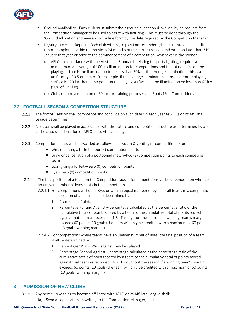

- Ground Availability Each club must submit their ground allocation & availability on request from the Competition Manager to be used to assist with fixturing. This must be done through the 'Ground Allocation and Availability' online form by the date required by the Competition Manager.
- Lighting Lux Audit Report Each club wishing to play fixtures under lights must provide an audit report completed within the previous 24 months of the current season end date, no later than  $31<sup>st</sup>$ January that year or prior to the commencement of a competition, whichever is the sooner.
	- (a) AFLQ, in accordance with the Australian Standards relating to sports lighting, requires a minimum of an average of 100 lux illumination for competitions and that at no point on the playing surface is the illumination to be less than 50% of the average illumination, this is a uniformity of 0.5 or higher. For example, if the average illumination across the entire playing surface is 120 lux then at no point on the playing surface can the illumination be less than 60 lux (50% of 120 lux).
	- (b) Clubs require a minimum of 50 lux for training purposes and Footy4Fun Competitions.

#### <span id="page-8-0"></span>**2.2 FOOTBALL SEASON & COMPETITION STRUCTURE**

- 2.2.1 The football season shall commence and conclude on such dates in each year as AFLQ or its Affiliate League determines.
- 2.2.2 A season shall be played in accordance with the fixture and competition structure as determined by and at the absolute discretion of AFLQ or its Affiliate League.
- 2.2.3 Competition points will be awarded as follows in all youth & youth girls competition fixtures: -
	- $\blacksquare$  Win, receiving a forfeit four (4) competition points
	- Draw or cancellation of a postponed match–two (2) competition points to each competing team
	- Loss, giving a forfeit zero (0) competition points
	- $\bullet$  Bye zero (0) competition points
	- 2.2.4 The final position of a team on the Competition Ladder for competitions varies dependent on whether an uneven number of byes exists in the competition.
		- 2.2.4.1 For competitions without a Bye, or with an equal number of byes for all teams in a competition, final position of a team shall be determined by:
			- 1. Premiership Points
			- 2. Percentage For and Against percentage calculated as the percentage ratio of the cumulative totals of points scored by a team to the cumulative total of points scored against that team as recorded. (NB. Throughout the season if a winning team's margin exceeds 60 points (10 goals) the team will only be credited with a maximum of 60 points (10 goals) winning margin.)
		- 2.2.4.2 For competitions where teams have an uneven number of Byes, the final position of a team shall be determined by:
			- 1. Percentage Won Wins against matches played
			- 2. Percentage For and Against percentage calculated as the percentage ratio of the cumulative totals of points scored by a team to the cumulative total of points scored against that team as recorded. (NB. Throughout the season if a winning team's margin exceeds 60 points (10 goals) the team will only be credited with a maximum of 60 points (10 goals) winning margin.)

#### <span id="page-8-1"></span>**3 ADMISSION OF NEW CLUBS**

- 3.1.1 Any new club wishing to become affiliated with AFLQ or its Affiliate League shall:
	- (a) Send an application, in writing to the Competition Manager; and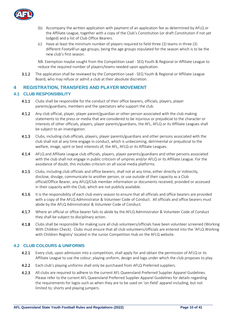

- (b) Accompany the written application with payment of an application fee as determined by AFLQ or the Affiliate League, together with a copy of the Club's Constitution (or draft Constitution if not yet lodged) and a list of Club Office Bearers.
- (c) Have at least the minimum number of players required to field three (3) teams in three (3) different Footy4Fun age groups, being the age groups stipulated for the season which is to be the new club's first season.

NB. Exemption maybe sought from the Competition Lead - SEQ Youth & Regional or Affiliate League to reduce the required number of players/teams needed upon application.

3.1.2 The application shall be reviewed by the Competition Lead - SEQ Youth & Regional or Affiliate League Board, who may refuse or admit a club at their absolute discretion.

#### **4 REGISTRATION, TRANSFERS AND PLAYER MOVEMENT**

#### <span id="page-9-0"></span>**4.1 CLUB RESPONSIBILITY**

- 4.1.1 Clubs shall be responsible for the conduct of their office bearers, officials, players, player parents/guardians, members and the spectators who support the club.
- 4.1.2 Any club official, player, player parent/guardian or other person associated with the club making statements to the press or media that are considered to be injurious or prejudicial to the character or interests of other officials, players, player parents/guardians, the AFL, AFLQ or its Affiliate Leagues shall be subject to an investigation.
- 4.1.3 Clubs, including club officials, players, player parents/guardians and other persons associated with the club shall not at any time engage in conduct, which is unbecoming, detrimental or prejudicial to the welfare, image, spirit or best interests of, the AFL, AFLQ or its Affiliate Leagues.
- 4.1.4 AFLQ and Affiliate League club officials, players, player parents/guardians and other persons associated with the club shall not engage in public criticism of umpires and/or AFLQ or its Affiliate League. For the avoidance of doubt, this includes criticism on all social media platforms.
- 4.1.5 Clubs, including club officials and office bearers, shall not at any time, either directly or indirectly, disclose, divulge, communicate to another person, or use outside of their capacity as a Club official/Office Bearer, any AFLQ/Club member information or documents received, provided or accessed in their capacity with the Club, which are not publicly available.
- 4.1.6 It is the responsibility of each club every season to ensure that all officials and office bearers are provided with a copy of the AFLQ Administrator & Volunteer Code of Conduct. All officials and office bearers must abide by the AFLQ Administrator & Volunteer Code of Conduct.
- 4.1.7 Where an official or office bearer fails to abide by the AFLQ Administrator & Volunteer Code of Conduct they shall be subject to disciplinary action.
- 4.1.8 Clubs shall be responsible for making sure all club volunteers/officials have been volunteer screened (Working With Children Check). Clubs must ensure that all club volunteers/officials are entered into the 'AFLQ Working with Children Registry' located in the Junior Competition Hub on the AFLQ website.

#### <span id="page-9-1"></span>**4.2 CLUB COLOURS & UNIFORMS**

- 4.2.1 Every club, upon admission into a competition, shall apply for and obtain the permission of AFLQ or its Affiliate League to use the colour, playing uniform, design and logo under which the club proposes to play.
- 4.2.2 Each club's playing uniforms shall only be purchased from AFLQ Preferred suppliers.
- 4.2.3 All clubs are required to adhere to the current AFL Queensland Preferred Supplier Apparel Guidelines. Please refer to the current AFL Queensland Preferred Supplier Apparel Guidelines for details regarding the requirements for logos such as when they are to be used on 'on-field' apparel including, but not limited to, shorts and playing jumpers.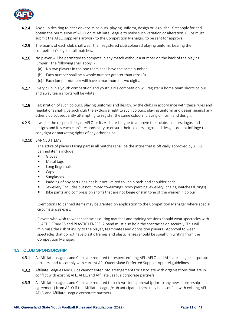

- 4.2.4 Any club desiring to alter or vary its colours, playing uniform, design or logo, shall first apply for and obtain the permission of AFLQ or its Affiliate League to make such variation or alteration. Clubs must submit the AFLQ supplier's artwork to the Competition Manager, to be sent for approval.
- 4.2.5 The teams of each club shall wear their registered club coloured playing uniform, bearing the competition's logo, at all matches.
- 4.2.6 No player will be permitted to compete in any match without a number on the back of the playing jumper. The following shall apply: -
	- (a) No two players in the one team shall have the same number.
	- (b) Each number shall be a whole number greater than zero (0).
	- (c) Each jumper number will have a maximum of two digits.
- 4.2.7 Every club in a youth competition and youth girl's competition will register a home team shorts colour and away team shorts will be white.
- 4.2.8 Registration of such colours, playing uniforms and design, by the clubs in accordance with these rules and regulations shall give such club the exclusive right to such colours, playing uniform and design against any other club subsequently attempting to register the same colours, playing uniform and design.
- 4.2.9 It will be the responsibility of AFLQ or its Affiliate League to approve their clubs' colours, logos and designs and it is each club's responsibility to ensure their colours, logos and designs do not infringe the copyright or marketing rights of any other clubs.

#### 4.2.10 BANNED ITEMS

The attire of players taking part in all matches shall be the attire that is officially approved by AFLQ. Banned items include:

- **Gloves**
- Metal tags
- Long fingernails
- Caps
- Sunglasses
- Padding of any sort (includes but not limited to shin pads and shoulder pads)
- Jewellery (includes but not limited to-earrings, body piercing jewellery, chains, watches & rings)
- Bike pants and compression shorts that are not beige or skin tone of the wearer in colour

Exemptions to banned items may be granted on application to the Competition Manager where special circumstances exist.

Players who wish to wear spectacles during matches and training sessions should wear spectacles with PLASTIC FRAMES and PLASTIC LENSES. A band must also hold the spectacles on securely. This will minimise the risk of injury to the player, teammates and opposition players. Approval to wear spectacles that do not have plastic frames and plastic lenses should be sought in writing from the Competition Manager.

#### <span id="page-10-0"></span>**4.3 CLUB SPONSORSHIP**

- 4.3.1 All Affiliate Leagues and Clubs are required to respect existing AFL, AFLQ and Affiliate League corporate partners, and to comply with current AFL Queensland Preferred Supplier Apparel guidelines.
- 4.3.2 Affiliate Leagues and Clubs cannot enter into arrangements or associate with organisations that are in conflict with existing AFL, AFLQ and Affiliate League corporate partners.
- 4.3.3 All Affiliate Leagues and Clubs are required to seek written approval (prior to any new sponsorship agreement) from AFLQ if the Affiliate League/club anticipates there may be a conflict with existing AFL, AFLQ and Affiliate League corporate partners.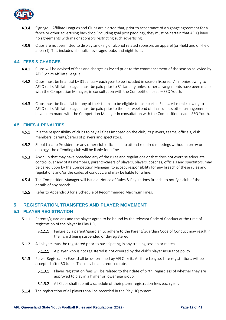

- 4.3.4 Signage Affiliate Leagues and Clubs are alerted that, prior to acceptance of a signage agreement for a fence or other advertising backdrop (including goal post padding), they must be certain that AFLQ have no agreements with major sponsors restricting such advertising.
- 4.3.5 Clubs are not permitted to display smoking or alcohol related sponsors on apparel (on-field and off-field apparel). This includes alcoholic beverages, pubs and nightclubs.

#### <span id="page-11-0"></span>**4.4 FEES & CHARGES**

- 4.4.1 Clubs will be advised of fees and charges as levied prior to the commencement of the season as levied by AFLQ or its Affiliate League.
- 4.4.2 Clubs must be financial by 31 January each year to be included in season fixtures. All monies owing to AFLQ or its Affiliate League must be paid prior to 31 January unless other arrangements have been made with the Competition Manager, in consultation with the Competition Lead – SEQ Youth.
- 4.4.3 Clubs must be financial for any of their teams to be eligible to take part in Finals. All monies owing to AFLQ or its Affiliate League must be paid prior to the first weekend of finals unless other arrangements have been made with the Competition Manager in consultation with the Competition Lead – SEQ Youth.

#### <span id="page-11-1"></span>**4.5 FINES & PENALTIES**

- 4.5.1 It is the responsibility of clubs to pay all fines imposed on the club, its players, teams, officials, club members, parents/carers of players and spectators.
- 4.5.2 Should a club President or any other club official fail to attend required meetings without a proxy or apology, the offending club will be liable for a fine.
- 4.5.3 Any club that may have breached any of the rules and regulations or that does not exercise adequate control over any of its members, parents/carers of players, players, coaches, officials and spectators, may be called upon by the Competition Manager, to accept responsibility for any breach of these rules and regulations and/or the codes of conduct, and may be liable for a fine.
- 4.5.4 The Competition Manager will issue a 'Notice of Rules & Regulations Breach' to notify a club of the details of any breach.
- 4.5.5 Refer to Appendix B for a Schedule of Recommended Maximum Fines.

#### <span id="page-11-2"></span>**5 REGISTRATION, TRANSFERS AND PLAYER MOVEMENT**

#### <span id="page-11-3"></span>**5.1 PLAYER REGISTRATION**

- 5.1.1 Parents/guardians and the player agree to be bound by the relevant Code of Conduct at the time of registration of the player in Play HQ.
	- 5.1.1.1 Failure by a parent/guardian to adhere to the Parent/Guardian Code of Conduct may result in their child being suspended or de-registered.
- **5.1.2** All players must be registered prior to participating in any training session or match.
	- **5.1.2.1** A player who is not registered is not covered by the club's player insurance policy..
- 5.1.3 Player Registration Fees shall be determined by AFLQ or its Affiliate League. Late registrations will be accepted after 30 June. This may be at a reduced rate.
	- 5.1.3.1 Player registration fees will be related to their date of birth, regardless of whether they are approved to play in a higher or lower age group.
	- 5.1.3.2 All Clubs shall submit a schedule of their player registration fees each year.
- **5.1.4** The registration of all players shall be recorded in the Play HQ system.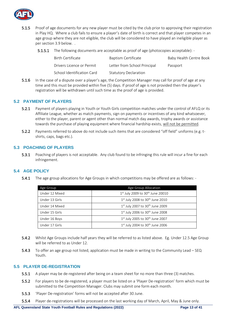

- 5.1.5 Proof of age documents for any new player must be cited by the club prior to approving their registration in Play HQ. Where a club fails to ensure a player's date of birth is correct and that player competes in an age group where they are not eligible, the club will be considered to have played an ineligible player as per section 3.9 below. .
	- 5.1.5.1 The following documents are acceptable as proof of age (photocopies acceptable): -

| Birth Certificate          | Baptism Certificate          | Baby Health Centre Book |
|----------------------------|------------------------------|-------------------------|
| Drivers Licence or Permit  | Letter from School Principal | Passport                |
| School Identification Card | <b>Statutory Declaration</b> |                         |

5.1.6 In the case of a dispute over a player's age, the Competition Manager may call for proof of age at any time and this must be provided within five (5) days. If proof of age is not provided then the player's registration will be withdrawn until such time as the proof of age is provided.

#### <span id="page-12-0"></span>**5.2 PAYMENT OF PLAYERS**

- 5.2.1 Payment of players playing in Youth or Youth Girls competition matches under the control of AFLQ or its Affiliate League, whether as match payments, sign on payments or incentives of any kind whatsoever, either to the player, parent or agent other than normal match day awards, trophy awards or assistance towards the purchase of playing equipment where financial hardship exists, will not be permitted.
- 5.2.2 Payments referred to above do not include such items that are considered "off field" uniforms (e.g. tshirts, caps, bags etc.).

#### <span id="page-12-1"></span>**5.3 POACHING OF PLAYERS**

5.3.1 Poaching of players is not acceptable. Any club found to be infringing this rule will incur a fine for each infringement.

#### <span id="page-12-2"></span>**5.4 AGE POLICY**

5.4.1 The age group allocations for Age Groups in which competitions may be offered are as follows: -

| Age Group      | Age Group Allocation                              |
|----------------|---------------------------------------------------|
| Under 12 Mixed | $1^{st}$ July 2009 to 30 <sup>th</sup> June 20010 |
| Under 13 Girls | $1st$ July 2008 to 30 <sup>th</sup> June 2010     |
| Under 14 Mixed | $1st$ July 2007 to 30 <sup>th</sup> June 2009     |
| Under 15 Girls | $1st$ July 2006 to 30 <sup>th</sup> June 2008     |
| Under 16 Boys  | $1st$ July 2005 to 30 <sup>th</sup> June 2007     |
| Under 17 Girls | $1st$ July 2004 to 30 <sup>th</sup> June 2006     |

- 5.4.2 Whilst Age Groups include half years they will be referred to as listed above. Eg. Under 12.5 Age Group will be referred to as Under 12.
- 5.4.3 To offer an age group not listed, application must be made in writing to the Community Lead SEQ Youth.

#### <span id="page-12-3"></span>**5.5 PLAYER DE-REGISTRATION**

- 5.5.1 A player may be de-registered after being on a team sheet for no more than three (3) matches.
- 5.5.2 For players to be de-registered, a player must be listed on a 'Player De-registration' form which must be submitted to the Competition Manager. Clubs may submit one form each month.
- 5.5.3 'Player De-registration' forms will not be accepted after 30 June.
- 5.5.4 Player de-registrations will be processed on the last working day of March, April, May & June only.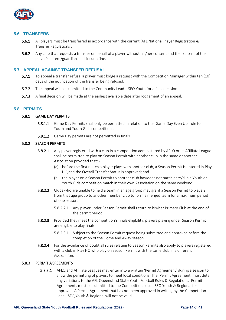

#### <span id="page-13-0"></span>**5.6 TRANSFERS**

- 5.6.1 All players must be transferred in accordance with the current 'AFL National Player Registration & Transfer Regulations'.
- 5.6.2 Any club that requests a transfer on behalf of a player without his/her consent and the consent of the player's parent/guardian shall incur a fine.

#### <span id="page-13-1"></span>**5.7 APPEAL AGAINST TRANSFER REFUSAL**

- 5.7.1 To appeal a transfer refusal a player must lodge a request with the Competition Manager within ten (10) days of the notification of the transfer being refused.
- 5.7.2 The appeal will be submitted to the Community Lead SEQ Youth for a final decision.
- 5.7.3 A final decision will be made at the earliest available date after lodgement of an appeal.

#### <span id="page-13-2"></span>**5.8 PERMITS**

#### 5.8.1 GAME DAY PERMITS

- 5.8.1.1 Game Day Permits shall only be permitted in relation to the 'Game Day Even Up' rule for Youth and Youth Girls competitions.
- 5.8.1.2 Game Day permits are not permitted in finals.

#### 5.8.2 SEASON PERMITS

- 5.8.2.1 Any player registered with a club in a competition administered by AFLQ or its Affiliate League shall be permitted to play on Season Permit with another club in the same or another Association provided that: -
	- (a) before the first match a player plays with another club, a Season Permit is entered in Play HQ and the Overall Transfer Status is approved; and
	- (b) the player on a Season Permit to another club has/does not participate/d in a Youth or Youth Girls competition match in their own Association on the same weekend.
- 5.8.2.2 Clubs who are unable to field a team in an age group may grant a Season Permit to players from that age group to another member club to form a merged team for a maximum period of one season.
	- 5.8.2.2.1 Any player under Season Permit shall return to his/her Primary Club at the end of the permit period.
- 5.8.2.3 Provided they meet the competition's finals eligibility, players playing under Season Permit are eligible to play finals.
	- 5.8.2.3.1 Subject to the Season Permit request being submitted and approved before the completion of the Home and Away season.
- 5.8.2.4 For the avoidance of doubt all rules relating to Season Permits also apply to players registered with a club in Play HQ who play on Season Permit with the same club in a different Association.

#### 5.8.3 PERMIT AGREEMENTS

5.8.3.1 AFLQ and Affiliate Leagues may enter into a written 'Permit Agreement' during a season to allow the permitting of players to meet local conditions. The 'Permit Agreement' must detail any variations to the AFL Queensland State Youth Football Rules & Regulations. Permit Agreements must be submitted to the Competition Lead - SEQ Youth & Regional for approval. A Permit Agreement that has not been approved in writing by the Competition Lead - SEQ Youth & Regional will not be valid.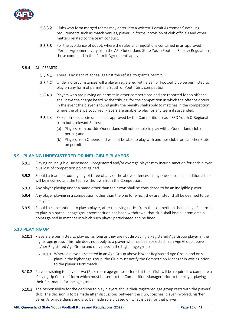

- 5.8.3.2 Clubs who form merged teams may enter into a written 'Permit Agreement' detailing requirements such as match venues, player uniforms, provision of club officials and other matters related to the team conduct.
- 5.8.3.3 For the avoidance of doubt, where the rules and regulations contained in an approved 'Permit Agreement' vary from the AFL Queensland State Youth Football Rules & Regulations, those contained in the 'Permit Agreement' apply.

#### 5.8.4 ALL PERMITS

- **5.8.4.1** There is no right of appeal against the refusal to grant a permit.
- 5.8.4.2 Under no circumstances will a player registered with a Senior Football club be permitted to play on any form of permit in a Youth or Youth Girls competition.
- 5.8.4.3 Players who are playing on permits in other competitions and are reported for an offence shall have the charge heard by the tribunal for the competition in which the offence occurs. In the event the player is found guilty the penalty shall apply to matches in the competition where the offence occurred. Players are unable to play for any team if suspended.
- 5.8.4.4 Except in special circumstances approved by the Competition Lead SEQ Youth & Regional from both relevant States: -
	- (a) Players from outside Queensland will not be able to play with a Queensland club on a permit; and
	- (b) Players from Queensland will not be able to play with another club from another State on permit.

#### <span id="page-14-0"></span>**5.9 PLAYING UNREGISTERED OR INELIGIBLE PLAYERS**

- 5.9.1 Playing an ineligible, suspended, unregistered and/or overage player may incur a sanction for each player plus loss of competition points gained.
- 5.9.2 Should a team be found guilty of three of any of the above offences in any one season, an additional fine will be incurred and the team withdrawn from the Competition.
- 5.9.3 Any player playing under a name other than their own shall be considered to be an ineligible player.
- 5.9.4 Any player playing in a competition, other than the one for which they are listed, shall be deemed to be ineligible.
- 5.9.5 Should a club continue to play a player, after receiving notice from the competition that a player's permit to play in a particular age group/competition has been withdrawn, that club shall lose all premiership points gained in matches in which such player participated and be fined.

#### <span id="page-14-1"></span>**5.10 PLAYING UP**

- 5.10.1 Players are permitted to play up, as long as they are not displacing a Registered Age Group player in the higher age group. This rule does not apply to a player who has been selected in an Age Group above his/her Registered Age Group and only plays in the higher age group.
	- 5.10.1.1 Where a player is selected in an Age Group above his/her Registered Age Group and only plays in the higher age group, the Club must notify the Competition Manager in writing prior to the player's first match.
- 5.10.2 Players wishing to play up two (2) or more age groups offered at their Club will be required to complete a 'Playing Up Consent' form which must be sent to the Competition Manager prior to the player playing their first match for the age group.
- 5.10.3 The responsibility for the decision to play players above their registered age group rests with the players' club. The decision is to be made after discussions between the club, coaches, player involved, his/her parent/s or guardian/s and is to be made solely based on what is best for that player.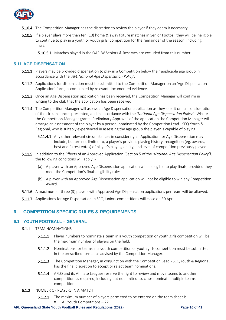

- **5.10.4** The Competition Manager has the discretion to review the player if they deem it necessary.
- 5.10.5 If a player plays more than ten (10) home & away fixture matches in Senior Football they will be ineligible to continue to play in a youth or youth girls' competition for the remainder of the season, including finals.

5.10.5.1 Matches played in the QAFLW Seniors & Reserves are excluded from this number.

#### <span id="page-15-0"></span>**5.11 AGE DISPENSATION**

- **5.11.1** Players may be provided dispensation to play in a Competition below their applicable age group in accordance with the '*AFL National Age Dispensation Policy'.*
- 5.11.2 Applications for dispensation must be submitted to the Competition Manager on an 'Age Dispensation Application' form, accompanied by relevant documented evidence.
- 5.11.3 Once an Age Dispensation application has been received, the Competition Manager will confirm in writing to the club that the application has been received.
- **5.11.4** The Competition Manager will assess an Age Dispensation application as they see fit on full consideration of the circumstances presented, and in accordance with the *'National Age Dispensation Policy'*. Where the Competition Manager grants 'Preliminary Approval' of the application the Competition Manager will arrange an assessment of the player by a person, nominated by the Competition Lead - SEQ Youth & Regional, who is suitably experienced in assessing the age group the player is capable of playing.
	- 5.11.4.1 Any other relevant circumstances in considering an Application for Age Dispensation may include, but are not limited to, a player's previous playing history, recognition (eg. awards, best and fairest votes) of player's playing ability, and level of competition previously played.
- 5.11.5 In addition to the Effects of an Approved Application (Section 5 of the *'National Age Dispensation Policy'),*  the following conditions will apply: -
	- (a) A player with an Approved Age Dispensation application will be eligible to play finals, provided they meet the Competition's finals eligibility rules.
	- (b) A player with an Approved Age Dispensation application will not be eligible to win any Competition Award.
- 5.11.6 A maximum of three (3) players with Approved Age Dispensation applications per team will be allowed.
- 5.11.7 Applications for Age Dispensation in SEQ Juniors competitions will close on 30 April.

### <span id="page-15-1"></span>**6 COMPETITION SPECIFIC RULES & REQUIREMENTS**

#### <span id="page-15-2"></span>**6.1 YOUTH FOOTBALL – GENERAL**

- 6.1.1 TEAM NOMINATIONS
	- 6.1.1.1 Player numbers to nominate a team in a youth competition or youth girls competition will be the maximum number of players on the field.
	- 6.1.1.2 Nominations for teams in a youth competition or youth girls competition must be submitted in the prescribed format as advised by the Competition Manager.
	- 6.1.1.3 The Competition Manager, in conjunction with the Competition Lead SEQ Youth & Regional, has the final discretion to accept or reject team nominations.
	- 6.1.1.4 AFLQ and its Affiliate Leagues reserve the right to review and move teams to another competition as required, including but not limited to, clubs nominate multiple teams in a competition.
- 6.1.2 NUMBER OF PLAYERS IN A MATCH
	- 6.1.2.1 The maximum number of players permitted to be entered on the team sheet is: All Youth Competitions  $-22$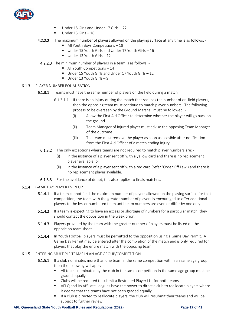

- Under 15 Girls and Under 17 Girls  $-22$
- Under 13 Girls  $-16$
- 4.2.2.2 The maximum number of players allowed on the playing surface at any time is as follows: -
	- All Youth Boys Competitions 18
	- Under 15 Youth Girls and Under 17 Youth Girls 16
	- Under 13 Youth Girls 12
- 4.2.2.3 The minimum number of players in a team is as follows:
	- All Youth Competitions 14
	- Under 15 Youth Girls and Under 17 Youth Girls 12
	- $\blacksquare$  Under 13 Youth Girls 9
- 6.1.3 PLAYER NUMBER EQUALISATION
	- **6.1.3.1** Teams must have the same number of players on the field during a match.
		- 6.1.3.1.1 If there is an injury during the match that reduces the number of on-field players, then the opposing team must continue to match player numbers. The following process to be overseen by the Ground Marshall must be followed: -
			- (i) Allow the First Aid Officer to determine whether the player will go back on the ground
			- (ii) Team Manager of injured player must advise the opposing Team Manager of the outcome
			- (iii) The team must remove the player as soon as possible after notification from the First Aid Officer of a match ending injury
		- 6.1.3.2 The only exceptions where teams are not required to match player numbers are:
			- (i) in the instance of a player sent off with a yellow card and there is no replacement player available, or
			- (ii) in the instance of a player sent off with a red card (refer 'Order Off Law') and there is no replacement player available.
		- **6.1.3.3** For the avoidance of doubt, this also applies to finals matches.
- 6.1.4 GAME DAY PLAYER EVEN UP
	- 6.1.4.1 If a team cannot field the maximum number of players allowed on the playing surface for that competition, the team with the greater number of players is encouraged to offer additional players to the lesser numbered team until team numbers are even or differ by one only.
	- 6.1.4.2 If a team is expecting to have an excess or shortage of numbers for a particular match, they should contact the opposition in the week prior.
	- 6.1.4.3 Players provided by the team with the greater number of players must be listed on the opposition team sheet.
	- 6.1.4.4 In Youth Football players must be permitted to the opposition using a Game Day Permit. A Game Day Permit may be entered after the completion of the match and is only required for players that play the entire match with the opposing team.
- 6.1.5 ENTERING MULTIPLE TEAMS IN AN AGE GROUP/COMPETITION
	- 6.1.5.1 If a club nominates more than one team in the same competition within an same age group, then the following will apply: -
		- **E** All teams nominated by the club in the same competition in the same age group must be graded equally.
		- Clubs will be required to submit a Restricted Player List for both teams.
		- AFLQ and its Affiliate Leagues have the power to direct a club to reallocate players where it deems that the teams have not been graded equally.
		- If a club is directed to reallocate players, the club will resubmit their teams and will be subject to further review.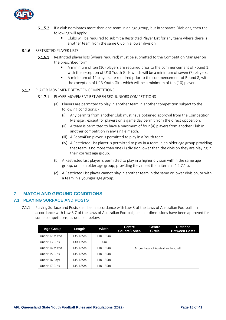

- 6.1.5.2 If a club nominates more than one team in an age group, but in separate Divisions, then the following will apply:
	- **•** Clubs will be required to submit a Restricted Player List for any team where there is another team from the same Club in a lower division.

#### 6.1.6 RESTRICTED PLAYER LISTS

- 6.1.6.1 Restricted player lists (where required) must be submitted to the Competition Manager on the prescribed form.
	- A minimum of ten (10) players are required prior to the commencement of Round 1, with the exception of U13 Youth Girls which will be a minimum of seven (7) players.
	- A minimum of 14 players are required prior to the commencement of Round 8, with the exception of U13 Youth Girls which will be a minimum of ten (10) players.

#### 6.1.7 PLAYER MOVEMENT BETWEEN COMPETITIONS

#### 6.1.7.1 PLAYER MOVEMENT BETWEEN SEQ JUNIORS COMPETITIONS

- (a) Players are permitted to play in another team in another competition subject to the following conditions: -
	- (i) Any permits from another Club must have obtained approval from the Competition Manager, except for players on a game day permit from the direct opposition.
	- (ii) A team is permitted to have a maximum of four (4) players from another Club in another competition in any single match.
	- (iii) A Footy4Fun player is permitted to play in a Youth team.
	- (iv) A Restricted List player is permitted to play in a team in an older age group providing that team is no more than one (1) division lower than the division they are playing in their correct age group.
- (b) A Restricted List player is permitted to play in a higher division within the same age group, or in an older age group, providing they meet the criteria in 4.2.7.1 a.
- (c) A Restricted List player cannot play in another team in the same or lower division, or with a team in a younger age group.

### <span id="page-17-0"></span>**7 MATCH AND GROUND CONDITIONS**

#### <span id="page-17-1"></span>**7.1 PLAYING SURFACE AND POSTS**

7.1.1 Playing Surface and Posts shall be in accordance with Law 3 of the Laws of Australian Football. In accordance with Law 3.7 of the Laws of Australian Football, smaller dimensions have been approved for some competitions, as detailed below.

| <b>Age Group</b> | Length   | Width           | <b>Centre</b><br><b>Square/Zones</b> | Centre<br><b>Circle</b> | <b>Distance</b><br><b>Between Posts</b> |
|------------------|----------|-----------------|--------------------------------------|-------------------------|-----------------------------------------|
| Under 12 Mixed   | 135-185m | 110-155m        |                                      |                         |                                         |
| Under 13 Girls   | 130-135m | 90 <sub>m</sub> |                                      |                         |                                         |
| Under 14 Mixed   | 135-185m | 110-155m        | As per Laws of Australian Football   |                         |                                         |
| Under 15 Girls   | 135-185m | 110-155m        |                                      |                         |                                         |
| Under 16 Boys    | 135-185m | 110-155m        |                                      |                         |                                         |
| Under 17 Girls   | 135-185m | 110-155m        |                                      |                         |                                         |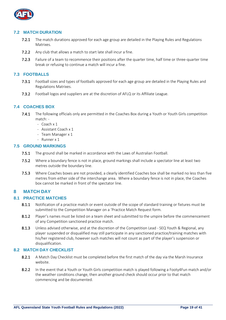

#### <span id="page-18-0"></span>**7.2 MATCH DURATION**

- 7.2.1 The match durations approved for each age group are detailed in the Playing Rules and Regulations Matrixes.
- 7.2.2 Any club that allows a match to start late shall incur a fine.
- 7.2.3 Failure of a team to recommence their positions after the quarter time, half time or three-quarter time break or refusing to continue a match will incur a fine.

#### <span id="page-18-1"></span>**7.3 FOOTBALLS**

- 7.3.1 Football sizes and types of footballs approved for each age group are detailed in the Playing Rules and Regulations Matrixes.
- 7.3.2 Football logos and suppliers are at the discretion of AFLQ or its Affiliate League.

#### <span id="page-18-2"></span>**7.4 COACHES BOX**

- 7.4.1 The following officials only are permitted in the Coaches Box during a Youth or Youth Girls competition match: -
	- Coach x 1
	- Assistant Coach x 1
	- Team Manager x 1
	- Runner x 1

#### <span id="page-18-3"></span>**7.5 GROUND MARKINGS**

- 7.5.1 The ground shall be marked in accordance with the Laws of Australian Football.
- 7.5.2 Where a boundary fence is not in place, ground markings shall include a spectator line at least two metres outside the boundary line.
- 7.5.3 Where Coaches boxes are not provided, a clearly identified Coaches box shall be marked no less than five metres from either side of the interchange area. Where a boundary fence is not in place, the Coaches box cannot be marked in front of the spectator line.

#### <span id="page-18-4"></span>**8 MATCH DAY**

#### <span id="page-18-5"></span>**8.1 PRACTICE MATCHES**

- 8.1.1 Notification of a practice match or event outside of the scope of standard training or fixtures must be submitted to the Competition Manager on a 'Practice Match Request form.
- 8.1.2 Player's names must be listed on a team sheet and submitted to the umpire before the commencement of any Competition sanctioned practice match.
- 8.1.3 Unless advised otherwise, and at the discretion of the Competition Lead SEQ Youth & Regional, any player suspended or disqualified may still participate in any sanctioned practice/training matches with his/her registered club, however such matches will not count as part of the player's suspension or disqualification.

#### <span id="page-18-6"></span>**8.2 MATCH DAY CHECKLIST**

- 8.2.1 A Match Day Checklist must be completed before the first match of the day via the Marsh Insurance website.
- 8.2.2 In the event that a Youth or Youth Girls competition match is played following a Footy4Fun match and/or the weather conditions change, then another ground check should occur prior to that match commencing and be documented.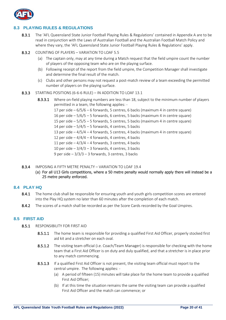

#### <span id="page-19-0"></span>**8.3 PLAYING RULES & REGULATIONS**

- 8.3.1 The 'AFL Queensland State Junior Football Playing Rules & Regulations' contained in Appendix A are to be read in conjunction with the Laws of Australian Football and the Australian Football Match Policy and where they vary, the 'AFL Queensland State Junior Football Playing Rules & Regulations' apply.
- 8.3.2 COUNTING OF PLAYERS VARIATION TO LOAF 5.5
	- (a) The captain only, may at any time during a Match request that the field umpire count the number of players of the opposing team who are on the playing surface.
	- (b) Following receipt of the report from the field umpire, the Competition Manager shall investigate and determine the final result of the match.
	- (c) Clubs and other persons may not request a post-match review of a team exceeding the permitted number of players on the playing surface.
- 8.3.3 STARTING POSITIONS (6-6-6 RULE) IN ADDITION TO LOAF 13.1
	- 8.3.3.1 Where on-field playing numbers are less than 18, subject to the minimum number of players permitted in a team, the following applies: - 17 per side – 6/5/6 – 6 forwards, 5 centres, 6 backs (maximum 4 in centre square) 16 per side – 5/6/5 – 5 forwards, 6 centres, 5 backs (maximum 4 in centre square) 15 per side – 5/5/5 – 5 forwards, 5 centres, 5 backs (maximum 4 in centre square) 14 per side  $-5/4/5 - 5$  forwards, 4 centres, 5 backs 13 per side  $-4/5/4 - 4$  forwards, 5 centres, 4 backs (maximum 4 in centre square) 12 per side  $-4/4/4 - 4$  forwards, 4 centres, 4 backs 11 per side  $-4/3/4 - 4$  forwards, 3 centres, 4 backs 10 per side  $-3/4/3 - 3$  forwards, 4 centres, 3 backs 9 per side  $-3/3/3 - 3$  forwards, 3 centres, 3 backs
- 8.3.4 IMPOSING A FIFTY METRE PENALTY VARIATION TO LOAE 19.4
	- (a) For all U13 Girls competitions, where a 50 metre penalty would normally apply there will instead be a 25 metre penalty enforced.

#### <span id="page-19-1"></span>**8.4 PLAY HQ**

- 8.4.1 The home club shall be responsible for ensuring youth and youth girls competition scores are entered into the Play HQ system no later than 60 minutes after the completion of each match.
- 8.4.2 The scores of a match shall be recorded as per the Score Cards recorded by the Goal Umpires.

#### <span id="page-19-2"></span>**8.5 FIRST AID**

- 8.5.1 RESPONSIBILITY FOR FIRST AID
	- 8.5.1.1 The home team is responsible for providing a qualified First Aid Officer, properly stocked first aid kit and a stretcher on each oval.
	- 8.5.1.2 The visiting team official (i.e. Coach/Team Manager) is responsible for checking with the home team that a First Aid Officer is on duty and duly qualified, and that a stretcher is in place prior to any match commencing.
	- 8.5.1.3 If a qualified First Aid Officer is not present, the visiting team official must report to the central umpire. The following applies: -
		- (a) A period of fifteen (15) minutes will take place for the home team to provide a qualified First Aid Officer;
		- (b) If at this time the situation remains the same the visiting team can provide a qualified First Aid Officer and the match can commence; or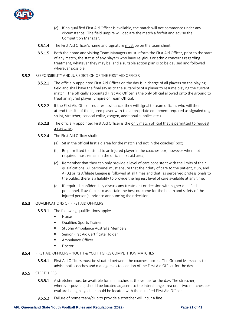

- (c) If no qualified First Aid Officer is available, the match will not commence under any circumstance. The field umpire will declare the match a forfeit and advise the Competition Manager.
- 8.5.1.4 The First Aid Officer's name and signature must be on the team sheet.
- 8.5.1.5 Both the home and visiting Team Managers must inform the First Aid Officer, prior to the start of any match, the status of any players who have religious or ethnic concerns regarding treatment, whatever they may be, and a suitable action plan is to be devised and followed wherever possible.
- 8.5.2 RESPONSIBILITY AND JURISDICTION OF THE FIRST AID OFFICER
	- 8.5.2.1 The officially appointed First Aid Officer on the day is in charge of all players on the playing field and shall have the final say as to the suitability of a player to resume playing the current match. The officially appointed First Aid Officer is the only official allowed onto the ground to treat an injured player, umpire or Team Official.
	- 8.5.2.2 If the First Aid Officer requires assistance, they will signal to team officials who will then attend the site of the injured player with the appropriate equipment required as signaled (e.g. splint, stretcher, cervical collar, oxygen, additional supplies etc.).
	- 8.5.2.3 The officially appointed First Aid Officer is the only match official that is permitted to request a stretcher.
	- 8.5.2.4 The First Aid Officer shall:
		- (a) Sit in the official first aid area for the match and not in the coaches' box;
		- (b) Be permitted to attend to an injured player in the coaches box, however when not required must remain in the official first aid area;
		- (c) Remember that they can only provide a level of care consistent with the limits of their qualifications. All personnel must ensure that their duty of care to the patient, club, and AFLQ or its Affiliate League is followed at all times and that, as perceived professionals to the public, there is a liability to provide the highest level of care available at any time;
		- (d) If required, confidentially discuss any treatment or decision with higher qualified personnel, if available, to ascertain the best outcome for the health and safety of the injured person(s) prior to announcing their decision;

#### 8.5.3 OUALIFICATIONS OF FIRST AID OFFICERS

- 8.5.3.1 The following qualifications apply: -
	- Nurse
	- Qualified Sports Trainer
	- St John Ambulance Australia Members
	- Senior First Aid Certificate Holder
	- Ambulance Officer
	- Doctor
- 8.5.4 FIRST AID OFFICERS YOUTH & YOUTH GIRLS COMPETITION MATCHES
	- 8.5.4.1 First Aid Officers must be situated between the coaches' boxes. The Ground Marshall is to advise both coaches and managers as to location of the First Aid Officer for the day.
- 8.5.5 STRETCHERS
	- 8.5.5.1 A stretcher must be available for all matches at the venue for the day. The stretcher, wherever possible, should be located adjacent to the interchange area or, if two matches per oval are being played, it should be located with the qualified First Aid Officer.
	- 8.5.5.2 Failure of home team/club to provide a stretcher will incur a fine.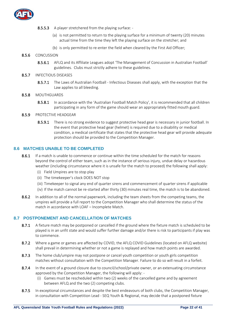

#### 8.5.5.3 A player stretchered from the playing surface: -

- (a) is not permitted to return to the playing surface for a minimum of twenty (20) minutes actual time from the time they left the playing surface on the stretcher; and
- (b) is only permitted to re-enter the field when cleared by the First Aid Officer;

#### 8.5.6 CONCUSSION

8.5.6.1 AFLQ and its Affiliate Leagues adopt 'The Management of Concussion in Australian Football' guidelines. Clubs must strictly adhere to these guidelines.

#### 8.5.7 INFECTIOUS DISEASES

8.5.7.1 The Laws of Australian Football - Infectious Diseases shall apply, with the exception that the Law applies to all bleeding.

#### 8.5.8 MOUTHGUARDS

8.5.8.1 In accordance with the 'Australian Football Match Policy', it is recommended that all children participating in any form of the game should wear an appropriately fitted mouth guard.

#### 8.5.9 PROTECTIVE HEADGEAR

8.5.9.1 There is no strong evidence to suggest protective head gear is necessary in junior football. In the event that protective head gear (helmet) is required due to a disability or medical condition, a medical certificate that states that the protective head gear will provide adequate protection should be provided to the Competition Manager.

#### <span id="page-21-0"></span>**8.6 MATCHES UNABLE TO BE COMPLETED**

- 8.6.1 If a match is unable to commence or continue within the time scheduled for the match for reasons beyond the control of either team, such as in the instance of serious injury, undue delay or hazardous weather (including circumstance where it is unsafe for the match to proceed) the following shall apply:
	- (i) Field Umpires are to stop play
	- (ii) The timekeeper's clock DOES NOT stop
	- (iii) Timekeeper to signal any end of quarter sirens and commencement of quarter sirens if applicable
	- (iv) If the match cannot be re-started after thirty (30) minutes real time, the match is to be abandoned.
- 8.6.2 In addition to all of the normal paperwork, including the team sheets from the competing teams, the umpires will provide a full report to the Competition Manager who shall determine the status of the match in accordance with LOAF – Incomplete Match.

#### <span id="page-21-1"></span>**8.7 POSTPONEMENT AND CANCELLATION OF MATCHES**

- 8.7.1 A fixture match may be postponed or cancelled if the ground where the fixture match is scheduled to be played is in an unfit state and would suffer further damage and/or there is risk to participants if play was to commence.
- 8.7.2 Where a game or games are affected by COVID, the AFLQ COVID Guidelines (located on AFLQ website) shall prevail in determining whether or not a game is replayed and how match points are awarded.
- 8.7.3 The home club/umpire may not postpone or cancel youth competition or youth girls competition matches without consultation with the Competition Manager. Failure to do so will result in a forfeit.
- 8.7.4 In the event of a ground closure due to council/school/private owner, or an extenuating circumstance approved by the Competition Manager, the following will apply: -
	- (i) Games must be rescheduled within two (2) weeks of the cancelled game and by agreement between AFLQ and the two (2) competing clubs.
- 8.7.5 In exceptional circumstances and despite the best endeavours of both clubs, the Competition Manager, in consultation with Competition Lead - SEQ Youth & Regional, may decide that a postponed fixture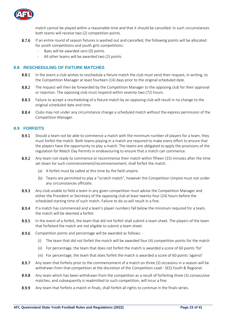

match cannot be played within a reasonable time and that it should be cancelled. In such circumstances both teams will receive two (2) competition points.

- 8.7.6 If an entire round of season fixtures is washed out and cancelled, the following points will be allocated for youth competitions and youth girls competitions:
	- Byes will be awarded zero (0) points
	- All other teams will be awarded two (2) points

#### <span id="page-22-0"></span>**8.8 RESCHEDULING OF FIXTURE MATCHES**

- 8.8.1 In the event a club wishes to reschedule a fixture match the club must send their request, in writing, to the Competition Manager at least fourteen (14) days prior to the original scheduled date.
- 8.8.2 The request will then be forwarded by the Competition Manager to the opposing club for their approval or rejection. The opposing club must respond within seventy-two (72) hours.
- 8.8.3 Failure to accept a rescheduling of a fixture match by an opposing club will result in no change to the original scheduled date and time.
- 8.8.4 Clubs may not under any circumstance change a scheduled match without the express permission of the Competition Manager.

#### <span id="page-22-1"></span>**8.9 FORFEITS**

- 8.9.1 Should a team not be able to commence a match with the minimum number of players for a team, they must forfeit the match. Both teams playing in a match are required to make every effort to ensure that the players have the opportunity to play a match. The teams are obligated to apply the provisions of the regulation for Match Day Permits in endeavouring to ensure that a match can commence.
- 8.9.2 Any team not ready to commence or recommence their match within fifteen (15) minutes after the time set down for such commencement/recommencement, shall forfeit the match.
	- (a) A forfeit must be called at this time by the field umpire.
	- (b) Teams are permitted to play a "scratch match", however the Competition Umpire must not under any circumstances officiate.
- 8.9.3 Any club unable to field a team in any given competition must advise the Competition Manager and either the President or Secretary of the opposing club at least twenty-four (24) hours before the scheduled starting time of such match. Failure to do so will result in a fine.
- 8.9.4 If a match has commenced and a team's player numbers fall below the minimum required for a team, the match will be deemed a forfeit.
- 8.9.5 In the event of a forfeit, the team that did not forfeit shall submit a team sheet. The players of the team that forfeited the match are not eligible to submit a team sheet.
- 8.9.6 Competition points and percentage will be awarded as follows: -
	- (i) The team that did not forfeit the match will be awarded four (4) competition points for the match
	- (ii) For percentage, the team that does not forfeit the match is awarded a score of 60 points 'for'
	- (iii) For percentage, the team that does forfeit the match is awarded a score of 60 points 'against'
- 8.9.7 Any team that forfeits prior to the commencement of a match on three (3) occasions in a season will be withdrawn from that competition at the discretion of the Competition Lead - SEQ Youth & Regional.
- 8.9.8 Any team which has been withdrawn from the competition as a result of forfeiting three (3) consecutive matches, and subsequently is readmitted to such competition, will incur a fine.
- <span id="page-22-2"></span>8.9.9 Any team that forfeits a match in finals, shall forfeit all rights to continue in the finals series.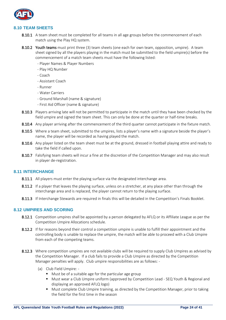

#### **8.10 TEAM SHEETS**

- 8.10.1 A team sheet must be completed for all teams in all age groups before the commencement of each match using the Play HQ system.
- 8.10.2 Youth teams must print three (3) team sheets (one each for own team, opposition, umpire). A team sheet signed by all the players playing in the match must be submitted to the field umpire(s) before the commencement of a match team sheets must have the following listed:
	- Player Names & Player Numbers
	- Play HQ Number
	- Coach
	- Assistant Coach
	- Runner
	- Water Carriers
	- Ground Marshall (name & signature)
	- First Aid Officer (name & signature)
- 8.10.3 Players arriving late will not be permitted to participate in the match until they have been checked by the field umpire and signed the team sheet. This can only be done at the quarter or half-time breaks.
- 8.10.4 Any player arriving after the commencement of the third quarter cannot participate in the fixture match.
- 8.10.5 Where a team sheet, submitted to the umpires, lists a player's name with a signature beside the player's name, the player will be recorded as having played the match.
- 8.10.6 Any player listed on the team sheet must be at the ground, dressed in football playing attire and ready to take the field if called upon.
- 8.10.7 Falsifying team sheets will incur a fine at the discretion of the Competition Manager and may also result in player de-registration.

#### <span id="page-23-0"></span>**8.11 INTERCHANGE**

- 8.11.1 All players must enter the playing surface via the designated interchange area.
- 8.11.2 If a player that leaves the playing surface, unless on a stretcher, at any place other than through the interchange area and is replaced, the player cannot return to the playing surface.
- 8.11.3 If Interchange Stewards are required in finals this will be detailed in the Competition's Finals Booklet.

#### <span id="page-23-1"></span>**8.12 UMPIRES AND SCORING**

- 8.12.1 Competition umpires shall be appointed by a person delegated by AFLQ or its Affiliate League as per the Competition Umpire Allocations schedule.
- 8.12.2 If for reasons beyond their control a competition umpire is unable to fulfill their appointment and the controlling body is unable to replace the umpire, the match will be able to proceed with a Club Umpire from each of the competing teams.
- 8.12.3 Where competition umpires are not available clubs will be required to supply Club Umpires as advised by the Competition Manager. If a club fails to provide a Club Umpire as directed by the Competition Manager penalties will apply. Club umpire responsibilities are as follows: -
	- (a) Club Field Umpire:
		- Must be of a suitable age for the particular age group
		- Must wear a Club Umpire uniform (approved by Competition Lead SEQ Youth & Regional and displaying an approved AFLQ logo)
		- Must complete Club Umpire training, as directed by the Competition Manager, prior to taking the field for the first time in the season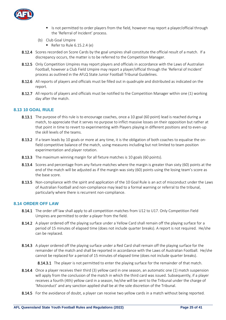

- Is not permitted to order players from the field, however may report a player/official through the 'Referral of Incident' process.
- (b) Club Goal Umpire
	- $\blacksquare$  Refer to Rule 6.15.2.4 (e)
- 8.12.4 Scores recorded on Score Cards by the goal umpires shall constitute the official result of a match. If a discrepancy occurs, the matter is to be referred to the Competition Manager.
- 8.12.5 Only Competition Umpires may report players and officials in accordance with the Laws of Australian Football, however a Club Field Umpire may report a player/official through the 'Referral of Incident' process as outlined in the AFLQ State Junior Football Tribunal Guidelines.
- 8.12.6 All reports of players and officials must be filled out in quadruple and distributed as indicated on the report.
- 8.12.7 All reports of players and officials must be notified to the Competition Manager within one (1) working day after the match.

#### <span id="page-24-0"></span>**8.13 10 GOAL RULE**

- 8.13.1 The purpose of this rule is to encourage coaches, once a 10 goal (60 point) lead is reached during a match, to appreciate that it serves no purpose to inflict massive losses on their opposition but rather at that point in time to revert to experimenting with Players playing in different positions and to even-up the skill levels of the teams.
- 8.13.2 If a team leads by 10 goals or more at any time, it is the obligation of both coaches to equalise the onfield competitive balance of the match, using measures including but not limited to team position experimentation and player rotation.
- 8.13.3 The maximum winning margin for all fixture matches is 10 goals (60 points).
- 8.13.4 Scores and percentage from any fixture matches where the margin is greater than sixty (60) points at the end of the match will be adjusted as if the margin was sixty (60) points using the losing team's score as the base score.
- 8.13.5 Non-compliance with the spirit and application of the 10 Goal Rule is an act of misconduct under the Laws of Australian Football and non-compliance may lead to a formal warning or referral to the tribunal, particularly where there is recurrent non-compliance.

#### <span id="page-24-1"></span>**8.14 ORDER OFF LAW**

- 8.14.1 The order off law shall apply to all competition matches from U12 to U17. Only Competition Field Umpires are permitted to order a player from the field.
- 8.14.2 A player ordered off the playing surface under a Yellow Card shall remain off the playing surface for a period of 15 minutes of elapsed time (does not include quarter breaks). A report is not required. He/she can be replaced.
- 8.14.3 A player ordered off the playing surface under a Red Card shall remain off the playing surface for the remainder of the match and shall be reported in accordance with the Laws of Australian Football. He/she cannot be replaced for a period of 15 minutes of elapsed time (does not include quarter breaks).

8.14.3.1 The player is not permitted to enter the playing surface for the remainder of that match.

- 8.14.4 Once a player receives their third (3) yellow card in one season, an automatic one (1) match suspension will apply from the conclusion of the match in which the third card was issued. Subsequently, if a player receives a fourth (4th) yellow card in a season, he/she will be sent to the Tribunal under the charge of 'Misconduct' and any sanction applied shall be at the sole discretion of the Tribunal.
- 8.14.5 For the avoidance of doubt, a player can receive two yellow cards in a match without being reported.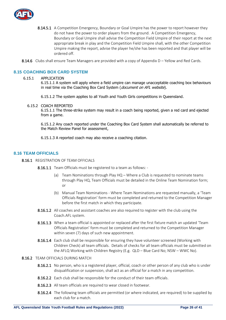

- 8.14.5.1 A Competition Emergency, Boundary or Goal Umpire has the power to report however they do not have the power to order players from the ground. A Competition Emergency, Boundary or Goal Umpire shall advise the Competition Field Umpire of their report at the next appropriate break in play and the Competition Field Umpire shall, with the other Competition Umpire making the report, advise the player he/she has been reported and that player will be ordered off.
- 8.14.6 Clubs shall ensure Team Managers are provided with a copy of Appendix D Yellow and Red Cards.

#### <span id="page-25-0"></span>**8.15 COACHING BOX CARD SYSTEM**

#### 6.15.1 APPLICATION

6.15.1.1 A system will apply where a field umpire can manage unacceptable coaching box behaviours in real time via the Coaching Box Card System (document on AFL website).

6.15.1.2 The system applies to all Youth and Youth Girls competitions in Queensland.

6.15.2 COACH REPORTED

6.15.1.1 The three-strike system may result in a coach being reported, given a red card and ejected from a game.

6.15.1.2 Any coach reported under the Coaching Box Card System shall automatically be referred to the Match Review Panel for assessment,

6.15.1.3 A reported coach may also receive a coaching citation.

#### <span id="page-25-1"></span>**8.16 TEAM OFFICIALS**

- 8.16.1 REGISTRATION OF TEAM OFFICIALS
	- 8.16.1.1 Team Officials must be registered to a team as follows: -
		- (a) Team Nominations through Play HQ Where a Club is requested to nominate teams through Play HQ, Team Officials must be detailed in the Online Team Nomination form;  $\alpha$ r
		- (b) Manual Team Nominations Where Team Nominations are requested manually, a 'Team Officials Registration' form must be completed and returned to the Competition Manager before the first match in which they participate.
	- 8.16.1.2 All coaches and assistant coaches are also required to register with the club using the Coach.AFL system.
	- 8.16.1.3 When a team official is appointed or replaced after the first fixture match an updated 'Team Officials Registration' form must be completed and returned to the Competition Manager within seven (7) days of such new appointment.
	- 8.16.1.4 Each club shall be responsible for ensuring they have volunteer screened (Working with Children Check) all team officials. Details of checks for all team officials must be submitted on the AFLQ Working with Children Registry (E.g. QLD – Blue Card No; NSW – WWC No).

#### 8.16.2 TEAM OFFICIALS DURING MATCH

- 8.16.2.1 No person, who is a registered player, official, coach or other person of any club who is under disqualification or suspension, shall act as an official for a match in any competition.
- 8.16.2.2 Each club shall be responsible for the conduct of their team officials.
- 8.16.2.3 All team officials are required to wear closed in footwear.
- 8.16.2.4 The following team officials are permitted (or where indicated, are required) to be supplied by each club for a match.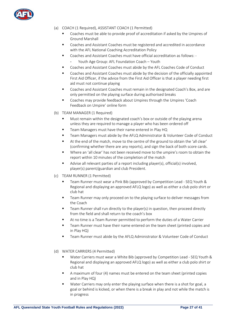

- (a) COACH (1 Required), ASSISTANT COACH (1 Permitted)
	- Coaches must be able to provide proof of accreditation if asked by the Umpires of Ground Marshall
	- Coaches and Assistant Coaches must be registered and accredited in accordance with the AFL National Coaching Accreditation Policy
	- Coaches and Assistant Coaches must have official accreditation as follows:
		- Youth Age Group: AFL Foundation Coach Youth
	- Coaches and Assistant Coaches must abide by the AFL Coaches Code of Conduct
	- Coaches and Assistant Coaches must abide by the decision of the officially appointed First Aid Officer, if the advice from the First Aid Officer is that a player needing first aid must not continue playing
	- Coaches and Assistant Coaches must remain in the designated Coach's Box, and are only permitted on the playing surface during authorised breaks
	- Coaches may provide feedback about Umpires through the Umpires 'Coach Feedback on Umpire' online form
- (b) TEAM MANAGER (1 Required)
	- Must remain within the designated coach's box or outside of the playing arena unless they are required to manage a player who has been ordered off
	- Team Managers must have their name entered in Play HQ
	- Team Managers must abide by the AFLQ Administrator & Volunteer Code of Conduct
	- At the end of the match, move to the centre of the ground to obtain the 'all clear' (confirming whether there are any reports), and sign the back of both score cards.
	- Where an 'all clear' has not been received move to the umpire's room to obtain the report within 10 minutes of the completion of the match
	- Advise all relevant parties of a report including player(s), official(s) involved, player(s) parent/guardian and club President.
- (c) TEAM RUNNER (1 Permitted)
	- Team Runner must wear a Pink Bib (approved by Competition Lead SEQ Youth & Regional and displaying an approved AFLQ logo) as well as either a club polo shirt or club hat
	- Team Runner may only proceed on to the playing surface to deliver messages from the Coach
	- Team Runner shall run directly to the player(s) in question, then proceed directly from the field and shall return to the coach's box
	- At no time is a Team Runner permitted to perform the duties of a Water Carrier
	- Team Runner must have their name entered on the team sheet (printed copies and in Play HQ)
	- Team Runner must abide by the AFLQ Administrator & Volunteer Code of Conduct
- (d) WATER CARRIERS (4 Permitted)
	- Water Carriers must wear a White Bib (approved by Competition Lead SEQ Youth & Regional and displaying an approved AFLQ logo) as well as either a club polo shirt or club hat
	- A maximum of four (4) names must be entered on the team sheet (printed copies and in Play HQ)
	- Water Carriers may only enter the playing surface when there is a shot for goal, a goal or behind is kicked, or when there is a break in play and not while the match is in progress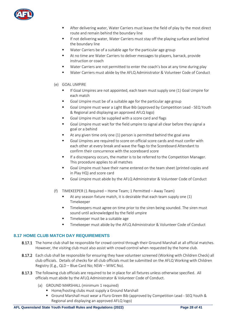

- After delivering water, Water Carriers must leave the field of play by the most direct route and remain behind the boundary line
- If not delivering water, Water Carriers must stay off the playing surface and behind the boundary line
- Water Carriers be of a suitable age for the particular age group
- At no time are Water Carriers to deliver messages to players, barrack, provide instruction or coach
- Water Carriers are not permitted to enter the coach's box at any time during play
- Water Carriers must abide by the AFLQ Administrator & Volunteer Code of Conduct
- (e) GOAL UMPIRE
	- If Goal Umpires are not appointed, each team must supply one (1) Goal Umpire for each match
	- Goal Umpire must be of a suitable age for the particular age group
	- Goal Umpire must wear a Light Blue Bib (approved by Competition Lead SEQ Youth & Regional and displaying an approved AFLQ logo)
	- Goal Umpire must be supplied with a score card and flags
	- Goal Umpire must wait for the field umpire to signal all clear before they signal a goal or a behind
	- At any given time only one (1) person is permitted behind the goal area
	- Goal Umpires are required to score on official score cards and must confer with each other at every break and wave the flags to the Scoreboard Attendant to confirm their concurrence with the scoreboard score
	- If a discrepancy occurs, the matter is to be referred to the Competition Manager. This procedure applies to all matches
	- Goal Umpire must have their name entered on the team sheet (printed copies and in Play HQ) and score card
	- Goal Umpire must abide by the AFLQ Administrator & Volunteer Code of Conduct
- (f) TIMEKEEPER (1 Required Home Team; 1 Permitted Away Team)
	- At any season fixture match, it is desirable that each team supply one  $(1)$ Timekeeper
	- Timekeepers must agree on time prior to the siren being sounded. The siren must sound until acknowledged by the field umpire
	- Timekeeper must be a suitable age
	- **■** Timekeeper must abide by the AFLQ Administrator & Volunteer Code of Conduct

#### <span id="page-27-0"></span>**8.17 HOME CLUB MATCH DAY REQUIREMENTS**

- 8.17.1 The home club shall be responsible for crowd control through their Ground Marshall at all official matches. However, the visiting club must also assist with crowd control when requested by the home club.
- 8.17.2 Each club shall be responsible for ensuring they have volunteer screened (Working with Children Check) all club officials. Details of checks for all club officials must be submitted on the AFLQ Working with Children Registry (E.g., QLD – Blue Card No; NSW – WWC No).
- 8.17.3 The following club officials are required to be in place for all fixtures unless otherwise specified. All officials must abide by the AFLQ Administrator & Volunteer Code of Conduct.
	- (a) GROUND MARSHALL (minimum 1 required)
		- Home/hosting clubs must supply a Ground Marshall
		- Ground Marshall must wear a Fluro Green Bib (approved by Competition Lead SEQ Youth & Regional and displaying an approved AFLQ logo)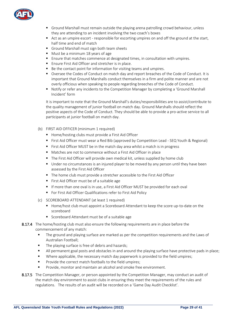

- Ground Marshall must remain outside the playing arena patrolling crowd behaviour, unless they are attending to an incident involving the two coach's boxes
- Act as an umpire escort responsible for escorting umpires on and off the ground at the start, half time and end of match
- Ground Marshall must sign both team sheets
- Must be a minimum 18 years of age
- Ensure that matches commence at designated times, in consultation with umpires.
- Ensure First Aid Officer and stretcher is in place.
- Be the contact point for information for visiting teams and umpires.
- Oversee the Codes of Conduct on match day and report breaches of the Code of Conduct. It is important that Ground Marshalls conduct themselves in a firm and polite manner and are not overly officious when speaking to people regarding breeches of the Code of Conduct.
- Notify or refer any incidents to the Competition Manager by completing a 'Ground Marshall Incident' form

It is important to note that the Ground Marshall's duties/responsibilities are to assist/contribute to the quality management of junior football on match day. Ground Marshalls should reflect the positive aspects of the Code of Conduct. They should be able to provide a pro-active service to all participants at junior football on match day.

- (b) FIRST AID OFFICER (minimum 1 required)
	- Home/hosting clubs must provide a First Aid Officer
	- First Aid Officer must wear a Red Bib (approved by Competition Lead SEQ Youth & Regional)
	- First Aid Officer MUST be in the match day area whilst a match is in progress
	- Matches are not to commence without a First Aid Officer in place
	- The First Aid Officer will provide own medical kit, unless supplied by home club
	- Under no circumstances is an injured player to be moved by any person until they have been assessed by the First Aid Officer
	- The home club must provide a stretcher accessible to the First Aid Officer
	- First Aid Officer must be of a suitable age
	- **■** If more than one oval is in use, a First Aid Officer MUST be provided for each oval
	- For First Aid Officer Qualifications refer to First Aid Policy
- (c) SCOREBOARD ATTENDANT (at least 1 required)
	- Home/host club must appoint a Scoreboard Attendant to keep the score up-to-date on the scoreboard
	- Scoreboard Attendant must be of a suitable age
- 8.17.4 The home/hosting club must also ensure the following requirements are in place before the commencement of any match:
	- The ground and playing surface are marked as per the competition requirements and the Laws of Australian Football;
	- The playing surface is free of debris and hazards;
	- All permanent goal posts and obstacles in and around the playing surface have protective pads in place;
	- Where applicable, the necessary match day paperwork is provided to the field umpires;
	- Provide the correct match footballs to the field umpires;
	- Provide, monitor and maintain an alcohol and smoke free environment.
- 8.17.5 The Competition Manager, or person appointed by the Competition Manager, may conduct an audit of the match day environment to assist clubs in ensuring they meet the requirements of the rules and regulations. The results of an audit will be recorded on a 'Game Day Audit Checklist'.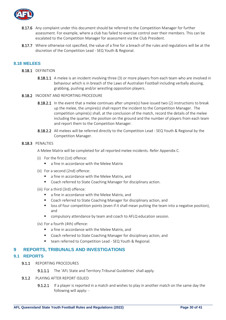

- 8.17.6 Any complaint under this document should be referred to the Competition Manager for further assessment. For example, where a club has failed to exercise control over their members. This can be escalated to the Competition Manager for assessment via the Club President.
- 8.17.7 Where otherwise not specified, the value of a fine for a breach of the rules and regulations will be at the discretion of the Competition Lead - SEQ Youth & Regional.

#### <span id="page-29-0"></span>**8.18 MELEES**

- 8.18.1 DEFINITION
	- 8.18.1.1 A melee is an incident involving three (3) or more players from each team who are involved in behaviour which is in breach of the Laws of Australian Football including verbally abusing, grabbing, pushing and/or wrestling opposition players.
- 8.18.2 INCIDENT AND REPORTING PROCEDURE
	- 8.18.2.1 In the event that a melee continues after umpire(s) have issued two (2) instructions to break up the melee, the umpire(s) shall report the incident to the Competition Manager. The competition umpire(s) shall, at the conclusion of the match, record the details of the melee including the quarter, the position on the ground and the number of players from each team and report them to the Competition Manager.
	- 8.18.2.2 All melees will be referred directly to the Competition Lead SEQ Youth & Regional by the Competition Manager.

#### 8.18.3 PENALTIES

A Melee Matrix will be completed for all reported melee incidents. Refer Appendix C.

- (i) For the first (1st) offence:
	- a fine in accordance with the Melee Matrix
- (ii) For a second (2nd) offence:
	- a fine in accordance with the Melee Matrix, and
	- Coach referred to State Coaching Manager for disciplinary action.
- (iii) For a third (3rd) offence:
	- a fine in accordance with the Melee Matrix, and
	- Coach referred to State Coaching Manager for disciplinary action, and
	- loss of four competition points (even if it shall mean putting the team into a negative position), and
	- compulsory attendance by team and coach to AFLQ education session.
- (iv) For a fourth (4th) offence:
	- a fine in accordance with the Melee Matrix, and
	- Coach referred to State Coaching Manager for disciplinary action, and
	- team referred to Competition Lead SEQ Youth & Regional.

#### <span id="page-29-1"></span>**9 REPORTS, TRIBUNALS AND INVESTIGATIONS**

#### <span id="page-29-2"></span>**9.1 REPORTS**

- 9.1.1 REPORTING PROCEDURES
	- **9.1.1.1** The 'AFL State and Territory Tribunal Guidelines' shall apply.
- 9.1.2 PLAYING AFTER REPORT ISSUED
	- 9.1.2.1 If a player is reported in a match and wishes to play in another match on the same day the following will apply: -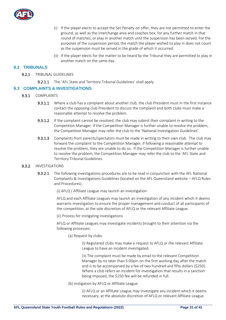

- (i) If the player elects to accept the Set Penalty on offer, they are not permitted to enter the ground, as well as the interchange area and coaches box, for any further match in that round of matches, or play in another match until the suspension has been served. For the purposes of the suspension period, the match the player wished to play in does not count as the suspension must be served in the grade of which it occurred.
- (ii) If the player elects for the matter to be heard by the Tribunal they are permitted to play in another match on the same day.

#### <span id="page-30-0"></span>**9.2 TRIBUNALS**

- 9.2.1 TRIBUNAL GUIDELINES
	- 9.2.1.1 The 'AFL State and Territory Tribunal Guidelines' shall apply.

#### <span id="page-30-1"></span>**9.3 COMPLAINTS & INVESTIGATIONS**

- 9.3.1 COMPLAINTS
	- 9.3.1.1 Where a club has a complaint about another club, the club President must in the first instance contact the opposing club President to discuss the complaint and both clubs must make a reasonable attempt to resolve the problem.
	- 9.3.1.2 If the complaint cannot be resolved, the club may submit their complaint in writing to the Competition Manager. If the Competition Manager is further unable to resolve the problem, the Competition Manager may refer the club to the 'National Investigation Guidelines'.
	- 9.3.1.3 Complaints from parents/spectators must be made in writing to their own club. The club may forward the complaint to the Competition Manager, if following a reasonable attempt to resolve the problem, they are unable to do so. If the Competition Manager is further unable to resolve the problem, the Competition Manager may refer the club to the 'AFL State and Territory Tribunal Guidelines.

#### 9.3.2 INVESTIGATIONS

- 9.3.2.1 The following investigations procedures are to be read in conjunction with the AFL National Complaints & Investigations Guidelines (located on the AFL Queensland website – AFLQ Rules and Procedures).
	- (i) AFLQ / Affiliate League may launch an investigation

AFLQ and each Affiliate Leagues may launch an investigation of any incident which it deems warrants investigation to ensure the proper management and conduct of all participants of the competition, at the sole discretion of AFLQ or the relevant Affiliate League.

(ii) Process for instigating investigations

AFLQ or Affiliate Leagues may investigate incidents brought to their attention via the following processes:

(a) Request by clubs

(i) Registered clubs may make a request to AFLQ or the relevant Affiliate League to have an incident investigated.

(ii) The complaint must be made by email to the relevant Competition Manager by no later than 5:00pm on the first working day after the match and is to be accompanied by a fee of two hundred and fifty dollars (\$250). Where a club refers an incident for investigation that results in a sanction being imposed, the \$250 fee will be refunded in full.

(b) Instigation by AFLQ or Affiliate League

(i) AFLQ or an Affiliate League may investigate any incident which it deems necessary, at the absolute discretion of AFLQ or relevant Affiliate League.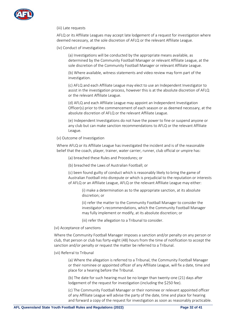

#### (iii) Late requests

AFLQ or its Affiliate Leagues may accept late lodgement of a request for investigation where deemed necessary, at the sole discretion of AFLQ or the relevant Affiliate League.

(iv) Conduct of investigations

(a) Investigations will be conducted by the appropriate means available, as determined by the Community Football Manager or relevant Affiliate League, at the sole discretion of the Community Football Manager or relevant Affiliate League.

(b) Where available, witness statements and video review may form part of the investigation.

(c) AFLQ and each Affiliate League may elect to use an Independent Investigator to assist in the investigation process, however this is at the absolute discretion of AFLQ or the relevant Affiliate League.

(d) AFLQ and each Affiliate League may appoint an Independent Investigation Officer(s) prior to the commencement of each season or as deemed necessary, at the absolute discretion of AFLQ or the relevant Affiliate League.

(e) Independent Investigations do not have the power to fine or suspend anyone or any club but can make sanction recommendations to AFLQ or the relevant Affiliate League.

#### (v) Outcome of Investigation

Where AFLQ or its Affiliate League has investigated the incident and is of the reasonable belief that the coach, player, trainer, water carrier, runner, club official or umpire has:

- (a) breached these Rules and Procedures; or
- (b) breached the Laws of Australian Football; or

(c) been found guilty of conduct which is reasonably likely to bring the game of Australian Football into disrepute or which is prejudicial to the reputation or interests of AFLQ or an Affiliate League, AFLQ or the relevant Affiliate League may either:

(i) make a determination as to the appropriate sanction, at its absolute discretion; or

(ii) refer the matter to the Community Football Manager to consider the investigator's recommendations, which the Community Football Manager may fully implement or modify, at its absolute discretion; or

(iii) refer the allegation to a Tribunal to consider.

(vi) Acceptance of sanctions

Where the Community Football Manager imposes a sanction and/or penalty on any person or club, that person or club has forty-eight (48) hours from the time of notification to accept the sanction and/or penalty or request the matter be referred to a Tribunal.

(vii) Referral to Tribunal

(a) Where the allegation is referred to a Tribunal, the Community Football Manager or their nominee or appointed officer of any Affiliate League, will fix a date, time and place for a hearing before the Tribunal.

(b) The date for such hearing must be no longer than twenty-one (21) days after lodgement of the request for investigation (including the \$250 fee).

(c) The Community Football Manager or their nominee or relevant appointed officer of any Affiliate League will advise the party of the date, time and place for hearing and forward a copy of the request for investigation as soon as reasonably practicable.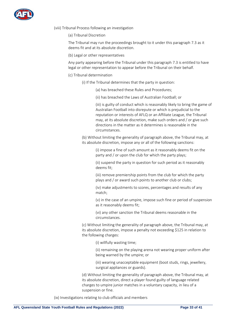

- (viii) Tribunal Process following an investigation
	- (a) Tribunal Discretion

The Tribunal may run the proceedings brought to it under this paragraph 7.3 as it deems fit and at its absolute discretion.

(b) Legal or other representatives

Any party appearing before the Tribunal under this paragraph 7.3 is entitled to have legal or other representation to appear before the Tribunal on their behalf.

- (c) Tribunal determination
	- (i) If the Tribunal determines that the party in question:
		- (a) has breached these Rules and Procedures;
		- (ii) has breached the Laws of Australian Football; or

(iii) is guilty of conduct which is reasonably likely to bring the game of Australian Football into disrepute or which is prejudicial to the reputation or interests of AFLQ or an Affiliate League, the Tribunal may, at its absolute discretion, make such orders and / or give such directions in the matter as it determines is reasonable in the circumstances.

(b) Without limiting the generality of paragraph above, the Tribunal may, at its absolute discretion, impose any or all of the following sanctions:

> (i) impose a fine of such amount as it reasonably deems fit on the party and / or upon the club for which the party plays;

> (ii) suspend the party in question for such period as it reasonably deems fit;

> (iii) remove premiership points from the club for which the party plays and / or award such points to another club or clubs;

(iv) make adjustments to scores, percentages and results of any match;

(v) in the case of an umpire, impose such fine or period of suspension as it reasonably deems fit;

(vi) any other sanction the Tribunal deems reasonable in the circumstances.

(c) Without limiting the generality of paragraph above, the Tribunal may, at its absolute discretion, impose a penalty not exceeding \$125 in relation to the following charges:

(i) willfully wasting time;

(ii) remaining on the playing arena not wearing proper uniform after being warned by the umpire; or

(iii) wearing unacceptable equipment (boot studs, rings, jewellery, surgical appliances or guards).

(d) Without limiting the generality of paragraph above, the Tribunal may, at its absolute discretion, direct a player found guilty of language related charges to umpire junior matches in a voluntary capacity, in lieu of a suspension or fine.

(ix) Investigations relating to club officials and members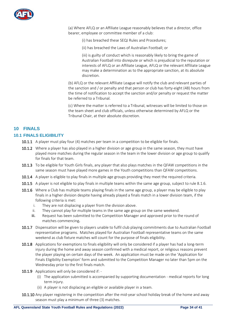

(a) Where AFLQ or an Affiliate League reasonably believes that a director, office bearer, employee or committee member of a club:

(i) has breached these SEQJ Rules and Procedures;

(ii) has breached the Laws of Australian Football; or

(iii) is guilty of conduct which is reasonably likely to bring the game of Australian Football into disrepute or which is prejudicial to the reputation or interests of AFLQ or an Affiliate League, AFLQ or the relevant Affiliate League may make a determination as to the appropriate sanction, at its absolute discretion.

(b) AFLQ or the relevant Affiliate League will notify the club and relevant parties of the sanction and / or penalty and that person or club has forty-eight (48) hours from the time of notification to accept the sanction and/or penalty or request the matter be referred to a Tribunal.

(c) Where the matter is referred to a Tribunal, witnesses will be limited to those on the team sheet and club officials, unless otherwise determined by AFLQ or the Tribunal Chair, at their absolute discretion.

#### <span id="page-33-0"></span>**10 FINALS**

#### <span id="page-33-1"></span>**10.1 FINALS ELIGIBILITY**

- **10.1.1** A player must play four (4) matches per team in a competition to be eligible for finals.
- 10.1.2 Where a player has also played in a higher division or age group in the same season, they must have played more matches during the regular season in the team in the lower division or age group to qualify for finals for that team.
- 10.1.3 To be eligible for Youth Girls finals, any player that also plays matches in the QFAW competitions in the same season must have played more games in the Youth competitions than QFAW competitions.
- 10.1.4 A player is eligible to play finals in multiple age groups providing they meet the required criteria.
- 10.1.5 A player is not eligible to play finals in multiple teams within the same age group, subject to rule 8.1.6.
- 10.1.6 Where a Club has multiple teams playing finals in the same age group, a player may be eligible to play finals in a higher division despite having already played a finals match in a lower division team, if the following criteria is met:
	- i. They are not displacing a player from the division above.
	- ii. They cannot play for multiple teams in the same age group on the same weekend.
	- iii. Request has been submitted to the Competition Manager and approved prior to the round of matches commencing.
- 10.1.7 Dispensation will be given to players unable to fulfil club playing commitments due to Australian Football representative programs. Matches played for Australian Football representative teams on the same weekend as club fixture matches will count for the purpose of finals eligibility.
- 10.1.8 Applications for exemptions to finals eligibility will only be considered if a player has had a long-term injury during the home and away season confirmed with a medical report, or religious reasons prevent the player playing on certain days of the week. An application must be made on the 'Application for Finals Eligibility Exemption' form and submitted to the Competition Manager no later than 5pm on the Wednesday prior to the first finals match.
- 10.1.9 Applications will only be considered if: -
	- (i) The application submitted is accompanied by supporting documentation medical reports for long term injury.
	- (ii) A player is not displacing an eligible or available player in a team.
- 10.1.10 Any player registering in the competition after the mid-year school holiday break of the home and away season must play a minimum of three (3) matches.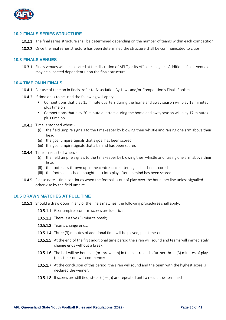

#### <span id="page-34-0"></span>**10.2 FINALS SERIES STRUCTURE**

- 10.2.1 The final series structure shall be determined depending on the number of teams within each competition.
- 10.2.2 Once the final series structure has been determined the structure shall be communicated to clubs.

#### <span id="page-34-1"></span>**10.3 FINALS VENUES**

10.3.1 Finals venues will be allocated at the discretion of AFLQ or its Affiliate Leagues. Additional finals venues may be allocated dependent upon the finals structure.

#### <span id="page-34-2"></span>**10.4 TIME ON IN FINALS**

- 10.4.1 For use of time on in finals, refer to Association By-Laws and/or Competition's Finals Booklet.
- **10.4.2** If time on is to be used the following will apply: -
	- Competitions that play 15 minute quarters during the home and away season will play 13 minutes plus time on
	- Competitions that play 20 minute quarters during the home and away season will play 17 minutes plus time on
- 10.4.3 Time is stopped when:
	- (i) the field umpire signals to the timekeeper by blowing their whistle and raising one arm above their head
	- (ii) the goal umpire signals that a goal has been scored
	- (iii) the goal umpire signals that a behind has been scored
- 10.4.4 Time is restarted when:
	- (i) the field umpire signals to the timekeeper by blowing their whistle and raising one arm above their head
	- (ii) the football is thrown up in the centre circle after a goal has been scored
	- (iii) the football has been bought back into play after a behind has been scored
- 10.4.5 Please note time continues when the football is out of play over the boundary line unless signalled otherwise by the field umpire.

#### <span id="page-34-3"></span>**10.5 DRAWN MATCHES AT FULL TIME**

- 10.5.1 Should a draw occur in any of the finals matches, the following procedures shall apply:
	- 10.5.1.1 Goal umpires confirm scores are identical;
	- 10.5.1.2 There is a five (5) minute break;
	- 10.5.1.3 Teams change ends;
	- 10.5.1.4 Three (3) minutes of additional time will be played, plus time-on;
	- 10.5.1.5 At the end of the first additional time period the siren will sound and teams will immediately change ends without a break;
	- 10.5.1.6 The ball will be bounced (or thrown up) in the centre and a further three (3) minutes of play (plus time-on) will commence;
	- 10.5.1.7 At the conclusion of this period, the siren will sound and the team with the highest score is declared the winner;
	- **10.5.1.8** If scores are still tied, steps  $(c) (h)$  are repeated until a result is determined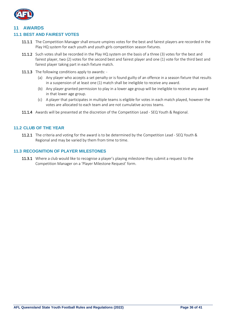

#### <span id="page-35-0"></span>**11 AWARDS**

#### <span id="page-35-1"></span>**11.1 BEST AND FAIREST VOTES**

- 11.1.1 The Competition Manager shall ensure umpires votes for the best and fairest players are recorded in the Play HQ system for each youth and youth girls competition season fixtures.
- 11.1.2 Such votes shall be recorded in the Play HQ system on the basis of a three (3) votes for the best and fairest player, two (2) votes for the second best and fairest player and one (1) vote for the third best and fairest player taking part in each fixture match.
- 11.1.3 The following conditions apply to awards: -
	- (a) Any player who accepts a set penalty or is found guilty of an offence in a season fixture that results in a suspension of at least one (1) match shall be ineligible to receive any award.
	- (b) Any player granted permission to play in a lower age group will be ineligible to receive any award in that lower age group.
	- (c) A player that participates in multiple teams is eligible for votes in each match played, however the votes are allocated to each team and are not cumulative across teams.
- 11.1.4 Awards will be presented at the discretion of the Competition Lead SEQ Youth & Regional.

#### <span id="page-35-2"></span>**11.2 CLUB OF THE YEAR**

11.2.1 The criteria and voting for the award is to be determined by the Competition Lead - SEQ Youth & Regional and may be varied by them from time to time.

#### <span id="page-35-3"></span>**11.3 RECOGNITION OF PLAYER MILESTONES**

11.3.1 Where a club would like to recognise a player's playing milestone they submit a request to the Competition Manager on a 'Player Milestone Request' form.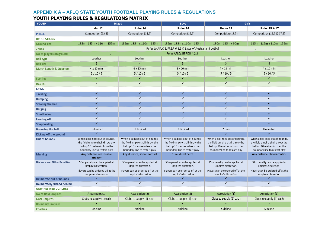# **APPENDIX A – AFLQ STATE YOUTH FOOTBALL PLAYING RULES & REGULATIONS**

# **YOUTH PLAYING RULES & REGULATIONS MATRIX**

<span id="page-36-0"></span>

| <b>YOUTH</b>                        | <b>Mixed</b>                                                                                                                          |                                                                                                                                       | <b>Boys</b>                                                                                                                           | <b>Girls</b>                                                                                                                          |                                                                                                                                       |
|-------------------------------------|---------------------------------------------------------------------------------------------------------------------------------------|---------------------------------------------------------------------------------------------------------------------------------------|---------------------------------------------------------------------------------------------------------------------------------------|---------------------------------------------------------------------------------------------------------------------------------------|---------------------------------------------------------------------------------------------------------------------------------------|
|                                     | Under 12                                                                                                                              | Under 14                                                                                                                              | Under 16                                                                                                                              | Under 13                                                                                                                              | Under 15 & 17                                                                                                                         |
| <b>PHASE</b>                        | Competition (12.5)                                                                                                                    | Competition (14.5)                                                                                                                    | Competition (16.5)                                                                                                                    | Competition (13.5)                                                                                                                    | Competition (15.5 & 17.5)                                                                                                             |
| <b>REGULATIONS</b>                  |                                                                                                                                       |                                                                                                                                       |                                                                                                                                       |                                                                                                                                       |                                                                                                                                       |
| <b>Ground size</b>                  | 135m - 185m x 110m - 155m                                                                                                             | 135m - 185m x 110m - 155m                                                                                                             | 135m - 185m x 110m - 155m                                                                                                             | 130m - 135m x 90m                                                                                                                     | 135m - 185m x 110m - 155m                                                                                                             |
| <b>Zones</b>                        |                                                                                                                                       | Refer to AFLQ SJFR&R 6.3.3 & Laws of Australian Football -------------------                                                          |                                                                                                                                       |                                                                                                                                       |                                                                                                                                       |
| No of players on ground             |                                                                                                                                       |                                                                                                                                       |                                                                                                                                       | -------------------    Refer AFLQ SJFR&R 4.2.2 --------------------------------                                                       |                                                                                                                                       |
| <b>Ball type</b>                    | Leather                                                                                                                               | Leather                                                                                                                               | Leather                                                                                                                               | Leather                                                                                                                               | Leather                                                                                                                               |
| <b>Ball size</b>                    | $\overline{3}$                                                                                                                        | $\overline{4}$                                                                                                                        | 5                                                                                                                                     | 3                                                                                                                                     | $\overline{4}$                                                                                                                        |
| <b>Match Length &amp; Quarters</b>  | $4 \times 15$ min                                                                                                                     | $4 \times 15$ min                                                                                                                     | $4 \times 20$ min                                                                                                                     | $4 \times 15$ min                                                                                                                     | $4 \times 15$ min                                                                                                                     |
|                                     | 5/10/5                                                                                                                                | 5/10/5                                                                                                                                | 5/10/5                                                                                                                                | 5/10/5                                                                                                                                | 5/10/5                                                                                                                                |
| <b>Scoring</b>                      | ✓                                                                                                                                     | ✓                                                                                                                                     | $\checkmark$                                                                                                                          | ✓                                                                                                                                     | ✓                                                                                                                                     |
| <b>Results</b>                      | $\checkmark$                                                                                                                          | $\checkmark$                                                                                                                          | $\checkmark$                                                                                                                          | $\checkmark$                                                                                                                          | $\checkmark$                                                                                                                          |
| LAWS                                |                                                                                                                                       |                                                                                                                                       |                                                                                                                                       |                                                                                                                                       |                                                                                                                                       |
| <b>Tackling</b>                     | ✓                                                                                                                                     | $\checkmark$                                                                                                                          | $\checkmark$                                                                                                                          | ✓                                                                                                                                     | ✓                                                                                                                                     |
| <b>Bumping</b>                      | $\checkmark$                                                                                                                          | $\checkmark$                                                                                                                          | $\checkmark$                                                                                                                          | ✓                                                                                                                                     | ✓                                                                                                                                     |
| <b>Stealing the ball</b>            |                                                                                                                                       |                                                                                                                                       | ✓                                                                                                                                     |                                                                                                                                       |                                                                                                                                       |
| <b>Barging</b>                      | $\checkmark$                                                                                                                          | $\checkmark$                                                                                                                          | $\checkmark$                                                                                                                          | ✓                                                                                                                                     | ✓                                                                                                                                     |
| <b>Smothering</b>                   | ✓                                                                                                                                     | ✓                                                                                                                                     | ✓                                                                                                                                     |                                                                                                                                       |                                                                                                                                       |
| <b>Fending off</b>                  | $\checkmark$                                                                                                                          | $\checkmark$                                                                                                                          | $\checkmark$                                                                                                                          | ✓                                                                                                                                     | ✓                                                                                                                                     |
| Shepherding                         |                                                                                                                                       |                                                                                                                                       | ✓                                                                                                                                     |                                                                                                                                       |                                                                                                                                       |
| <b>Bouncing the ball</b>            | Unlimited                                                                                                                             | Unlimited                                                                                                                             | Unlimited                                                                                                                             | 2 max                                                                                                                                 | Unlimited                                                                                                                             |
| Kicking off the ground              | $\checkmark$                                                                                                                          | $\checkmark$                                                                                                                          | $\checkmark$                                                                                                                          | $\checkmark$                                                                                                                          | ✓                                                                                                                                     |
| <b>Out of bounds</b>                | When a ball goes out of bounds,<br>the field umpire shall throw the<br>ball up 10 metres in from the<br>boundary line to restart play | When a ball goes out of bounds,<br>the field umpire shall throw the<br>ball up 10 metres in from the<br>boundary line to restart play | When a ball goes out of bounds,<br>the field umpire shall throw the<br>ball up 10 metres in from the<br>boundary line to restart play | When a ball goes out of bounds,<br>the field umpire shall throw the<br>ball up 10 metres in from the<br>boundary line to restart play | When a ball goes out of bounds,<br>the field umpire shall throw the<br>ball up 10 metres in from the<br>boundary line to restart play |
| <b>Marking</b>                      | Any distance, reasonable<br>attempt                                                                                                   | Any distance, shows control                                                                                                           | 10m, direct catch                                                                                                                     |                                                                                                                                       | Any distance, shows control                                                                                                           |
| <b>Distance and Other Penalties</b> | 50m penalty can be applied at<br>umpires discretion.                                                                                  | 50m penalty can be applied at<br>umpires discretion.                                                                                  | 50m penalty can be applied at<br>umpires discretion.                                                                                  | 15m penalty can be applied at<br>umpires discretion.                                                                                  | 50m penalty can be applied at<br>umpires discretion.                                                                                  |
|                                     | Players can be ordered off at the<br>umpire's discretion                                                                              | Players can be ordered off at the<br>umpire's discretion                                                                              | Players can be ordered off at the<br>umpire's discretion                                                                              | Players can be ordered off at the<br>umpire's discretion                                                                              | Players can be ordered off at the<br>umpire's discretion                                                                              |
| <b>Deliberate out of bounds</b>     | ✓                                                                                                                                     | $\checkmark$                                                                                                                          | ✓                                                                                                                                     | ✓                                                                                                                                     | ✓                                                                                                                                     |
| Deliberately rushed behind          | $\checkmark$                                                                                                                          | $\checkmark$                                                                                                                          | $\checkmark$                                                                                                                          | $\checkmark$                                                                                                                          | $\checkmark$                                                                                                                          |
| <b>UMPIRES AND COACHES</b>          |                                                                                                                                       |                                                                                                                                       |                                                                                                                                       |                                                                                                                                       |                                                                                                                                       |
| No of field umpires                 | Association (1)                                                                                                                       | Association (2)                                                                                                                       | Association (2)                                                                                                                       | Association (1)                                                                                                                       | Association (1)                                                                                                                       |
| <b>Goal umpires</b>                 | Clubs to supply (1) each                                                                                                              | Clubs to supply (1) each                                                                                                              | Clubs to supply (1) each                                                                                                              | Clubs to supply (1) each                                                                                                              | Clubs to supply (1) each                                                                                                              |
| <b>Boundary umpires</b>             | $\pmb{\times}$                                                                                                                        | $\pmb{\times}$                                                                                                                        | $\pmb{\times}$                                                                                                                        | ×                                                                                                                                     | $\mathbf x$                                                                                                                           |
| <b>Coaches</b>                      | Sideline                                                                                                                              | Sideline                                                                                                                              | Sideline                                                                                                                              | Sideline                                                                                                                              | Sideline                                                                                                                              |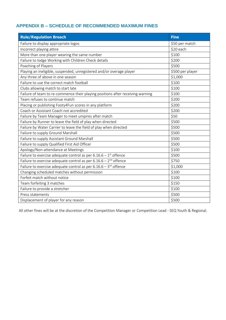# <span id="page-37-0"></span>**APPENDIX B – SCHEDULE OF RECOMMENDED MAXIMUM FINES**

| <b>Rule/Regulation Breach</b>                                                  | <b>Fine</b>      |
|--------------------------------------------------------------------------------|------------------|
| Failure to display appropriate logos                                           | \$50 per match   |
| Incorrect playing attire                                                       | \$20 each        |
| More than one player wearing the same number                                   | \$100            |
| Failure to lodge Working with Children Check details                           | \$200            |
| Poaching of Players                                                            | \$500            |
| Playing an ineligible, suspended, unregistered and/or overage player           | \$500 per player |
| Any three of above in one season                                               | \$1,000          |
| Failure to use the correct match football                                      | \$100            |
| Clubs allowing match to start late                                             | \$100            |
| Failure of team to re-commence their playing positions after receiving warning | \$100            |
| Team refuses to continue match                                                 | \$200            |
| Placing or publishing Footy4Fun scores in any platform                         | \$200            |
| Coach or Assistant Coach not accredited                                        | \$200            |
| Failure by Team Manager to meet umpires after match                            | \$50             |
| Failure by Runner to leave the field of play when directed                     | \$500            |
| Failure by Water Carrier to leave the field of play when directed              | \$500            |
| Failure to supply Ground Marshall                                              | \$500            |
| Failure to supply Assistant Ground Marshall                                    | \$500            |
| Failure to supply Qualified First Aid Officer                                  | \$500            |
| Apology/Non-attendance at Meetings                                             | \$100            |
| Failure to exercise adequate control as per $6.16.6 - 1$ <sup>st</sup> offence | \$500            |
| Failure to exercise adequate control as per $6.16.6 - 2^{nd}$ offence          | \$750            |
| Failure to exercise adequate control as per $6.16.6 - 3^{rd}$ offence          | \$1,000          |
| Changing scheduled matches without permission                                  | \$100            |
| Forfeit match without notice                                                   | \$100            |
| Team forfeiting 3 matches                                                      | \$150            |
| Failure to provide a stretcher                                                 | \$100            |
| Press statements                                                               | \$500            |
| Displacement of player for any reason                                          | \$500            |

All other fines will be at the discretion of the Competition Manager or Competition Lead - SEQ Youth & Regional.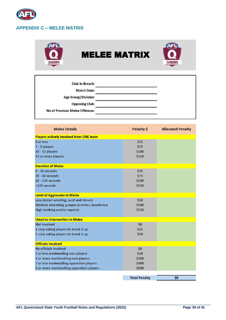

<span id="page-38-0"></span>

| Club in Breach:                |
|--------------------------------|
| <b>Match Date:</b>             |
| <b>Age Group/Division:</b>     |
| <b>Opposing Club:</b>          |
| No of Previous Melee Offences: |

| <b>Melee Details</b>                          | Penalty \$           | <b>Allocated Penalty</b> |
|-----------------------------------------------|----------------------|--------------------------|
| Players actively involved from ONE team       |                      |                          |
| 6 or less                                     | \$25                 |                          |
| 7 - 9 players                                 | \$75                 |                          |
| $10 - 12$ players                             | \$100                |                          |
| 13 or more players                            | \$150                |                          |
| <b>Duration of Melee</b>                      |                      |                          |
| $0 - 30$ seconds                              | \$25                 |                          |
| 30 - 60 seconds                               | \$75                 |                          |
| 60 - 120 seconds                              | \$100                |                          |
| >120 seconds                                  | \$150                |                          |
| <b>Level of Aggression in Melee</b>           |                      |                          |
| Low (minor wresting, push and shove)          | \$50                 |                          |
| Medium (wrestling, jumper punches, headlocks) | \$100                |                          |
| High (striking and/or reports)                | \$150                |                          |
| <b>Umpires Intervention in Melee</b>          |                      |                          |
| Not involved                                  | \$0                  |                          |
| 1 ump asking players to break it up           | \$25                 |                          |
| 2 ump asking players to break it up           | \$50                 |                          |
| <b>Officials involved</b>                     |                      |                          |
| No officials involved                         | \$0                  |                          |
| 2 or less manhandling own players             | \$50                 |                          |
| 3 or more manhandling own players             | \$100                |                          |
| 2 or less manhandling opposition players      | \$300                |                          |
| 3 or more manhandling opposition players      | \$500                |                          |
|                                               | <b>Total Penalty</b> | \$0                      |
|                                               |                      |                          |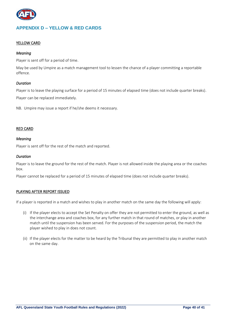

# <span id="page-39-0"></span>**APPENDIX D – YELLOW & RED CARDS**

#### YELLOW CARD

#### *Meaning*

Player is sent off for a period of time.

May be used by Umpire as a match management tool to lessen the chance of a player committing a reportable offence.

#### *Duration*

Player is to leave the playing surface for a period of 15 minutes of elapsed time (does not include quarter breaks). Player can be replaced immediately.

NB. Umpire may issue a report if he/she deems it necessary.

#### RED CARD

#### *Meaning*

Player is sent off for the rest of the match and reported.

#### *Duration*

Player is to leave the ground for the rest of the match. Player is not allowed inside the playing area or the coaches box.

Player cannot be replaced for a period of 15 minutes of elapsed time (does not include quarter breaks).

#### PLAYING AFTER REPORT ISSUED

If a player is reported in a match and wishes to play in another match on the same day the following will apply:

- (i) If the player elects to accept the Set Penalty on offer they are not permitted to enter the ground, as well as the interchange area and coaches box, for any further match in that round of matches, or play in another match until the suspension has been served. For the purposes of the suspension period, the match the player wished to play in does not count.
- (ii) If the player elects for the matter to be heard by the Tribunal they are permitted to play in another match on the same day.